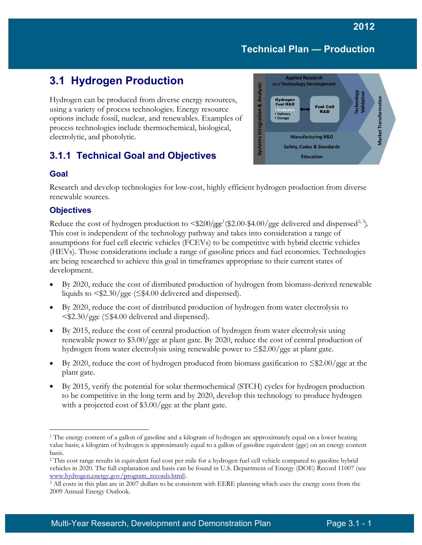# **3.1 Hydrogen Production**

Hydrogen can be produced from diverse energy resources, using a variety of process technologies. Energy resource options include fossil, nuclear, and renewables. Examples of process technologies include thermochemical, biological, electrolytic, and photolytic.

## **3.1.1 Technical Goal and Objectives**





Research and develop technologies for low-cost, highly efficient hydrogen production from diverse renewable sources.

#### **Objectives**

Reduce the cost of hydrogen production to  $\langle $200/gge^1(\$2.00-\$4.00/gge$  $\langle $200/gge^1(\$2.00-\$4.00/gge$  $\langle $200/gge^1(\$2.00-\$4.00/gge$  delivered and dispensed<sup>2, [3](#page-0-2)</sup>). This cost is independent of the technology pathway and takes into consideration a range of assumptions for fuel cell electric vehicles (FCEVs) to be competitive with hybrid electric vehicles (HEVs). Those considerations include a range of gasoline prices and fuel economies. Technologies are being researched to achieve this goal in timeframes appropriate to their current states of development.

- By 2020, reduce the cost of distributed production of hydrogen from biomass-derived renewable liquids to  $\langle $2.30/gge \langle $4.00 \rangle \rangle$  delivered and dispensed).
- By 2020, reduce the cost of distributed production of hydrogen from water electrolysis to <\$2.30/gge (≤\$4.00 delivered and dispensed).
- By 2015, reduce the cost of central production of hydrogen from water electrolysis using renewable power to \$3.00/gge at plant gate. By 2020, reduce the cost of central production of hydrogen from water electrolysis using renewable power to ≤\$2.00/gge at plant gate.
- By 2020, reduce the cost of hydrogen produced from biomass gasification to  $\leq$ \$2.00/gge at the plant gate.
- By 2015, verify the potential for solar thermochemical (STCH) cycles for hydrogen production to be competitive in the long term and by 2020, develop this technology to produce hydrogen with a projected cost of \$3.00/gge at the plant gate.

<span id="page-0-0"></span> $\overline{a}$ <sup>1</sup> The energy content of a gallon of gasoline and a kilogram of hydrogen are approximately equal on a lower heating value basis; a kilogram of hydrogen is approximately equal to a gallon of gasoline equivalent (gge) on an energy content basis.

<span id="page-0-1"></span><sup>2</sup> This cost range results in equivalent fuel cost per mile for a hydrogen fuel cell vehicle compared to gasoline hybrid vehicles in 2020. The full explanation and basis can be found in U.S. Department of Energy (DOE) Record 11007 (see [www.hydrogen.energy.gov/program\\_records.html\)](http://www.hydrogen.energy.gov/program_records.html).

<span id="page-0-2"></span><sup>&</sup>lt;sup>3</sup> All costs in this plan are in 2007 dollars to be consistent with EERE planning which uses the energy costs from the 2009 Annual Energy Outlook.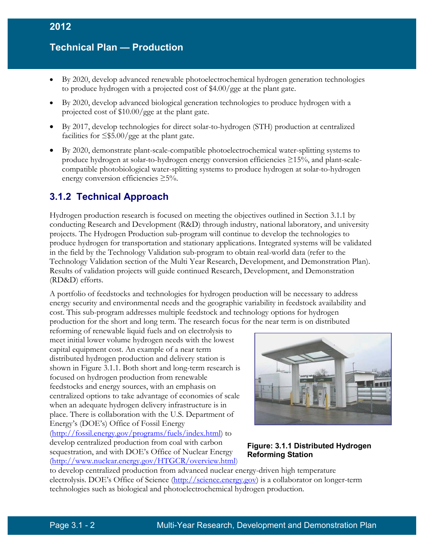- By 2020, develop advanced renewable photoelectrochemical hydrogen generation technologies to produce hydrogen with a projected cost of \$4.00/gge at the plant gate.
- By 2020, develop advanced biological generation technologies to produce hydrogen with a projected cost of \$10.00/gge at the plant gate.
- By 2017, develop technologies for direct solar-to-hydrogen (STH) production at centralized facilities for  $\leq$ \$5.00/gge at the plant gate.
- By 2020, demonstrate plant-scale-compatible photoelectrochemical water-splitting systems to produce hydrogen at solar-to-hydrogen energy conversion efficiencies ≥15%, and plant-scalecompatible photobiological water-splitting systems to produce hydrogen at solar-to-hydrogen energy conversion efficiencies ≥5%.

## **3.1.2 Technical Approach**

Hydrogen production research is focused on meeting the objectives outlined in Section 3.1.1 by conducting Research and Development (R&D) through industry, national laboratory, and university projects. The Hydrogen Production sub-program will continue to develop the technologies to produce hydrogen for transportation and stationary applications. Integrated systems will be validated in the field by the Technology Validation sub-program to obtain real-world data (refer to the Technology Validation section of the Multi Year Research, Development, and Demonstration Plan). Results of validation projects will guide continued Research, Development, and Demonstration (RD&D) efforts.

A portfolio of feedstocks and technologies for hydrogen production will be necessary to address energy security and environmental needs and the geographic variability in feedstock availability and cost. This sub-program addresses multiple feedstock and technology options for hydrogen production for the short and long term. The research focus for the near term is on distributed

reforming of renewable liquid fuels and on electrolysis to meet initial lower volume hydrogen needs with the lowest capital equipment cost. An example of a near term distributed hydrogen production and delivery station is shown in Figure 3.1.1. Both short and long-term research is focused on hydrogen production from renewable feedstocks and energy sources, with an emphasis on centralized options to take advantage of economies of scale when an adequate hydrogen delivery infrastructure is in place. There is collaboration with the U.S. Department of Energy's (DOE's) Office of Fossil Energy [\(http://fossil.energy.gov/programs/fuels/index.html\)](http://fossil.energy.gov/programs/fuels/index.html) to develop centralized production from coal with carbon sequestration, and with DOE's Office of Nuclear Energy [\(http://www.nuclear.energy.gov/HTGCR/overview.html\)](http://www.nuclear.energy.gov/HTGCR/overview.html)



#### **Figure: 3.1.1 Distributed Hydrogen Reforming Station**

to develop centralized production from advanced nuclear energy-driven high temperature electrolysis. DOE's Office of Science [\(http://science.energy.gov\)](http://science.energy.gov/) is a collaborator on longer-term technologies such as biological and photoelectrochemical hydrogen production.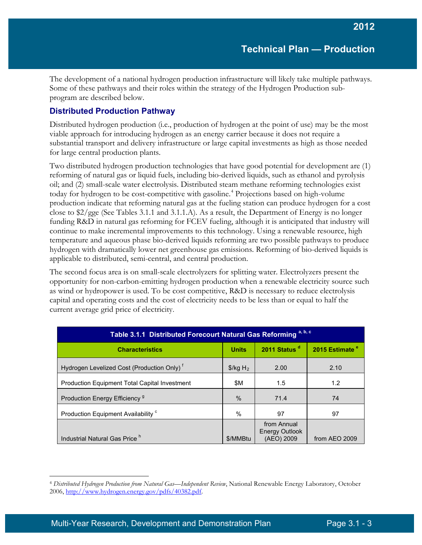The development of a national hydrogen production infrastructure will likely take multiple pathways. Some of these pathways and their roles within the strategy of the Hydrogen Production subprogram are described below.

### **Distributed Production Pathway**

Distributed hydrogen production (i.e., production of hydrogen at the point of use) may be the most viable approach for introducing hydrogen as an energy carrier because it does not require a substantial transport and delivery infrastructure or large capital investments as high as those needed for large central production plants.

Two distributed hydrogen production technologies that have good potential for development are (1) reforming of natural gas or liquid fuels, including bio-derived liquids, such as ethanol and pyrolysis oil; and (2) small-scale water electrolysis. Distributed steam methane reforming technologies exist today for hydrogen to be cost-competitive with gasoline. [4](#page-2-0) Projections based on high-volume production indicate that reforming natural gas at the fueling station can produce hydrogen for a cost close to \$2/gge (See Tables 3.1.1 and 3.1.1.A). As a result, the Department of Energy is no longer funding R&D in natural gas reforming for FCEV fueling, although it is anticipated that industry will continue to make incremental improvements to this technology. Using a renewable resource, high temperature and aqueous phase bio-derived liquids reforming are two possible pathways to produce hydrogen with dramatically lower net greenhouse gas emissions. Reforming of bio-derived liquids is applicable to distributed, semi-central, and central production.

The second focus area is on small-scale electrolyzers for splitting water. Electrolyzers present the opportunity for non-carbon-emitting hydrogen production when a renewable electricity source such as wind or hydropower is used. To be cost competitive, R&D is necessary to reduce electrolysis capital and operating costs and the cost of electricity needs to be less than or equal to half the current average grid price of electricity.

| Table 3.1.1 Distributed Forecourt Natural Gas Reforming a, b, c                                  |                                  |                                             |               |  |  |  |  |  |
|--------------------------------------------------------------------------------------------------|----------------------------------|---------------------------------------------|---------------|--|--|--|--|--|
| 2011 Status <sup>d</sup><br>2015 Estimate <sup>e</sup><br><b>Units</b><br><b>Characteristics</b> |                                  |                                             |               |  |  |  |  |  |
| Hydrogen Levelized Cost (Production Only) <sup>f</sup>                                           | $\frac{1}{2}$ /kg H <sub>2</sub> | 2.00                                        | 2.10          |  |  |  |  |  |
| <b>Production Equipment Total Capital Investment</b>                                             | \$M                              | 1.5                                         | 1.2           |  |  |  |  |  |
| Production Energy Efficiency <sup>9</sup>                                                        | $\%$                             | 71.4                                        | 74            |  |  |  |  |  |
| Production Equipment Availability <sup>c</sup>                                                   | %                                | 97                                          | 97            |  |  |  |  |  |
| Industrial Natural Gas Price <sup>h</sup>                                                        | \$/MMBtu                         | from Annual<br>Energy Outlook<br>(AEO) 2009 | from AEO 2009 |  |  |  |  |  |

<span id="page-2-0"></span> $\overline{a}$ <sup>4</sup> *Distributed Hydrogen Production from Natural Gas—Independent Review*, National Renewable Energy Laboratory, October 2006, [http://www.hydrogen.energy.gov/pdfs/40382.pdf.](http://www.hydrogen.energy.gov/pdfs/40382.pdf)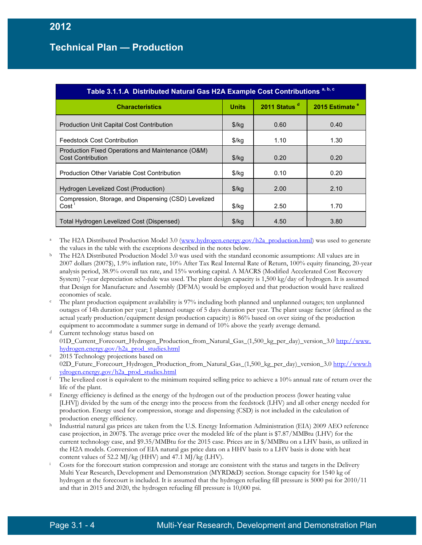| Table 3.1.1.A Distributed Natural Gas H2A Example Cost Contributions <sup>a, b, c</sup> |                   |                          |                            |  |  |  |
|-----------------------------------------------------------------------------------------|-------------------|--------------------------|----------------------------|--|--|--|
| <b>Characteristics</b>                                                                  | <b>Units</b>      | 2011 Status <sup>d</sup> | 2015 Estimate <sup>e</sup> |  |  |  |
| <b>Production Unit Capital Cost Contribution</b>                                        | \$/kg             | 0.60                     | 0.40                       |  |  |  |
| Feedstock Cost Contribution                                                             | $$$ /kg           | 1.10                     | 1.30                       |  |  |  |
| Production Fixed Operations and Maintenance (O&M)<br><b>Cost Contribution</b>           | \$/kg             | 0.20                     | 0.20                       |  |  |  |
| Production Other Variable Cost Contribution                                             | $\frac{1}{2}$ /kg | 0.10                     | 0.20                       |  |  |  |
| Hydrogen Levelized Cost (Production)                                                    | \$/kg             | 2.00                     | 2.10                       |  |  |  |
| Compression, Storage, and Dispensing (CSD) Levelized<br>Cost '                          | $\frac{1}{2}$ /kg | 2.50                     | 1.70                       |  |  |  |
| Total Hydrogen Levelized Cost (Dispensed)                                               | $\frac{1}{2}$     | 4.50                     | 3.80                       |  |  |  |

- The H2A Distributed Production Model 3.0 [\(www.hydrogen.energy.gov/h2a\\_production.html\)](http://www.hydrogen.energy.gov/h2a_production.html) was used to generate the values in the table with the exceptions described in the notes below.<br><sup>b</sup> The H2A Distributed Production Model 3.0 was used with the standard economic assumptions: All values are in
- 2007 dollars (2007\$), 1.9% inflation rate, 10% After Tax Real Internal Rate of Return, 100% equity financing, 20-year analysis period, 38.9% overall tax rate, and 15% working capital. A MACRS (Modified Accelerated Cost Recovery System) 7-year depreciation schedule was used. The plant design capacity is 1,500 kg/day of hydrogen. It is assumed that Design for Manufacture and Assembly (DFMA) would be employed and that production would have realized economies of scale.
- The plant production equipment availability is 97% including both planned and unplanned outages; ten unplanned outages of 14h duration per year; 1 planned outage of 5 days duration per year. The plant usage factor (defined as the actual yearly production/equipment design production capacity) is 86% based on over sizing of the production equipment to accommodate a summer surge in demand of 10% above the yearly average demand.
- Current technology status based on 01D\_Current\_Forecourt\_Hydrogen\_Production\_from\_Natural\_Gas\_(1,500\_kg\_per\_day)\_version\_3.0 [http://www.](http://www.hydrogen.energy.gov/h2a_prod_studies.html) [hydrogen.energy.gov/h2a\\_prod\\_studies.html](http://www.hydrogen.energy.gov/h2a_prod_studies.html)
- 2015 Technology projections based on 02D\_Future\_Forecourt\_Hydrogen\_Production\_from\_Natural\_Gas\_(1,500\_kg\_per\_day)\_version\_3.[0 http://www.h](http://www.hydrogen.energy.gov/h2a_prod_studies.html) [ydrogen.energy.gov/h2a\\_prod\\_studies.html](http://www.hydrogen.energy.gov/h2a_prod_studies.html)
- $f$ . The levelized cost is equivalent to the minimum required selling price to achieve a 10% annual rate of return over the
- life of the plant.<br><sup>g</sup> Energy efficiency is defined as the energy of the hydrogen out of the production process (lower heating value [LHV]) divided by the sum of the energy into the process from the feedstock (LHV) and all other energy needed for production. Energy used for compression, storage and dispensing (CSD) is not included in the calculation of production energy efficiency.
- <sup>h</sup> Industrial natural gas prices are taken from the U.S. Energy Information Administration (EIA) 2009 AEO reference case projection, in 2007\$. The average price over the modeled life of the plant is \$7.87/MMBtu (LHV) for the current technology case, and \$9.35/MMBtu for the 2015 case. Prices are in \$/MMBtu on a LHV basis, as utilized in the H2A models. Conversion of EIA natural gas price data on a HHV basis to a LHV basis is done with heat content values of 52.2 MJ/kg (HHV) and 47.1 MJ/kg (LHV).
- Costs for the forecourt station compression and storage are consistent with the status and targets in the Delivery Multi Year Research, Development and Demonstration (MYRD&D) section. Storage capacity for 1540 kg of hydrogen at the forecourt is included. It is assumed that the hydrogen refueling fill pressure is 5000 psi for 2010/11 and that in 2015 and 2020, the hydrogen refueling fill pressure is 10,000 psi.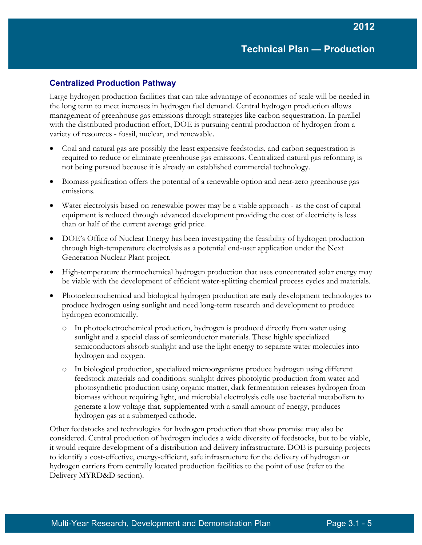#### **Centralized Production Pathway**

Large hydrogen production facilities that can take advantage of economies of scale will be needed in the long term to meet increases in hydrogen fuel demand. Central hydrogen production allows management of greenhouse gas emissions through strategies like carbon sequestration. In parallel with the distributed production effort, DOE is pursuing central production of hydrogen from a variety of resources - fossil, nuclear, and renewable.

- Coal and natural gas are possibly the least expensive feedstocks, and carbon sequestration is required to reduce or eliminate greenhouse gas emissions. Centralized natural gas reforming is not being pursued because it is already an established commercial technology.
- Biomass gasification offers the potential of a renewable option and near-zero greenhouse gas emissions.
- Water electrolysis based on renewable power may be a viable approach as the cost of capital equipment is reduced through advanced development providing the cost of electricity is less than or half of the current average grid price.
- DOE's Office of Nuclear Energy has been investigating the feasibility of hydrogen production through high-temperature electrolysis as a potential end-user application under the Next Generation Nuclear Plant project.
- High-temperature thermochemical hydrogen production that uses concentrated solar energy may be viable with the development of efficient water-splitting chemical process cycles and materials.
- Photoelectrochemical and biological hydrogen production are early development technologies to produce hydrogen using sunlight and need long-term research and development to produce hydrogen economically.
	- o In photoelectrochemical production, hydrogen is produced directly from water using sunlight and a special class of semiconductor materials. These highly specialized semiconductors absorb sunlight and use the light energy to separate water molecules into hydrogen and oxygen.
	- o In biological production, specialized microorganisms produce hydrogen using different feedstock materials and conditions: sunlight drives photolytic production from water and photosynthetic production using organic matter, dark fermentation releases hydrogen from biomass without requiring light, and microbial electrolysis cells use bacterial metabolism to generate a low voltage that, supplemented with a small amount of energy, produces hydrogen gas at a submerged cathode.

Other feedstocks and technologies for hydrogen production that show promise may also be considered. Central production of hydrogen includes a wide diversity of feedstocks, but to be viable, it would require development of a distribution and delivery infrastructure. DOE is pursuing projects to identify a cost-effective, energy-efficient, safe infrastructure for the delivery of hydrogen or hydrogen carriers from centrally located production facilities to the point of use (refer to the Delivery MYRD&D section).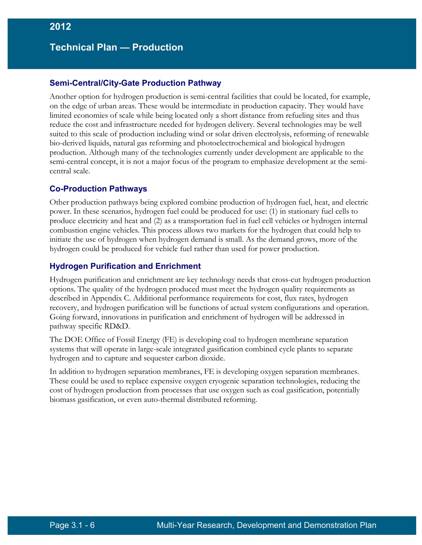#### **Semi-Central/City-Gate Production Pathway**

Another option for hydrogen production is semi-central facilities that could be located, for example, on the edge of urban areas. These would be intermediate in production capacity. They would have limited economies of scale while being located only a short distance from refueling sites and thus reduce the cost and infrastructure needed for hydrogen delivery. Several technologies may be well suited to this scale of production including wind or solar driven electrolysis, reforming of renewable bio-derived liquids, natural gas reforming and photoelectrochemical and biological hydrogen production. Although many of the technologies currently under development are applicable to the semi-central concept, it is not a major focus of the program to emphasize development at the semicentral scale.

#### **Co-Production Pathways**

Other production pathways being explored combine production of hydrogen fuel, heat, and electric power. In these scenarios, hydrogen fuel could be produced for use: (1) in stationary fuel cells to produce electricity and heat and (2) as a transportation fuel in fuel cell vehicles or hydrogen internal combustion engine vehicles. This process allows two markets for the hydrogen that could help to initiate the use of hydrogen when hydrogen demand is small. As the demand grows, more of the hydrogen could be produced for vehicle fuel rather than used for power production.

#### **Hydrogen Purification and Enrichment**

Hydrogen purification and enrichment are key technology needs that cross-cut hydrogen production options. The quality of the hydrogen produced must meet the hydrogen quality requirements as described in Appendix C. Additional performance requirements for cost, flux rates, hydrogen recovery, and hydrogen purification will be functions of actual system configurations and operation. Going forward, innovations in purification and enrichment of hydrogen will be addressed in pathway specific RD&D.

The DOE Office of Fossil Energy (FE) is developing coal to hydrogen membrane separation systems that will operate in large-scale integrated gasification combined cycle plants to separate hydrogen and to capture and sequester carbon dioxide.

In addition to hydrogen separation membranes, FE is developing oxygen separation membranes. These could be used to replace expensive oxygen cryogenic separation technologies, reducing the cost of hydrogen production from processes that use oxygen such as coal gasification, potentially biomass gasification, or even auto-thermal distributed reforming.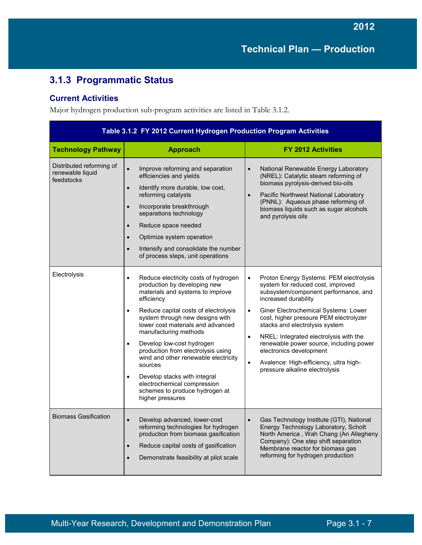# **3.1.3 Programmatic Status**

#### **Current Activities**

Major hydrogen production sub-program activities are listed in Table 3.1.2.

| Table 3.1.2 FY 2012 Current Hydrogen Production Program Activities |                                                                                                                                                                                                                                                                                                                                                                                                                                                                                                                                                                |                                                                                                                                                                                                                                                                                                                                                                                                                                                                                                                  |  |  |  |
|--------------------------------------------------------------------|----------------------------------------------------------------------------------------------------------------------------------------------------------------------------------------------------------------------------------------------------------------------------------------------------------------------------------------------------------------------------------------------------------------------------------------------------------------------------------------------------------------------------------------------------------------|------------------------------------------------------------------------------------------------------------------------------------------------------------------------------------------------------------------------------------------------------------------------------------------------------------------------------------------------------------------------------------------------------------------------------------------------------------------------------------------------------------------|--|--|--|
| <b>Technology Pathway</b>                                          | <b>Approach</b>                                                                                                                                                                                                                                                                                                                                                                                                                                                                                                                                                | <b>FY 2012 Activities</b>                                                                                                                                                                                                                                                                                                                                                                                                                                                                                        |  |  |  |
| Distributed reforming of<br>renewable liquid<br>feedstocks         | Improve reforming and separation<br>$\bullet$<br>efficiencies and yields<br>Identify more durable, low cost,<br>$\bullet$<br>reforming catalysts<br>Incorporate breakthrough<br>$\bullet$<br>separations technology<br>Reduce space needed<br>$\bullet$<br>Optimize system operation<br>Intensify and consolidate the number<br>$\bullet$<br>of process steps, unit operations                                                                                                                                                                                 | National Renewable Energy Laboratory<br>$\bullet$<br>(NREL): Catalytic steam reforming of<br>biomass pyrolysis-derived bio-oils<br>Pacific Northwest National Laboratory<br>(PNNL): Aqueous phase reforming of<br>biomass liquids such as sugar alcohols<br>and pyrolysis oils                                                                                                                                                                                                                                   |  |  |  |
| Electrolysis                                                       | Reduce electricity costs of hydrogen<br>$\bullet$<br>production by developing new<br>materials and systems to improve<br>efficiency<br>Reduce capital costs of electrolysis<br>$\bullet$<br>system through new designs with<br>lower cost materials and advanced<br>manufacturing methods<br>Develop low-cost hydrogen<br>$\bullet$<br>production from electrolysis using<br>wind and other renewable electricity<br>sources<br>Develop stacks with integral<br>$\bullet$<br>electrochemical compression<br>schemes to produce hydrogen at<br>higher pressures | Proton Energy Systems: PEM electrolysis<br>$\bullet$<br>system for reduced cost, improved<br>subsystem/component performance, and<br>increased durability<br>Giner Electrochemical Systems: Lower<br>$\bullet$<br>cost, higher pressure PEM electrolyzer<br>stacks and electrolysis system<br>NREL: Integrated electrolysis with the<br>$\bullet$<br>renewable power source, including power<br>electronics development<br>Avalence: High-efficiency, ultra high-<br>$\bullet$<br>pressure alkaline electrolysis |  |  |  |
| <b>Biomass Gasification</b>                                        | Develop advanced, lower-cost<br>$\bullet$<br>reforming technologies for hydrogen<br>production from biomass gasification<br>Reduce capital costs of gasification<br>$\bullet$<br>Demonstrate feasibility at pilot scale                                                                                                                                                                                                                                                                                                                                        | $\bullet$<br>Gas Technology Institute (GTI), National<br>Energy Technology Laboratory, Schott<br>North America, Wah Chang (An Allegheny<br>Company): One step shift separation<br>Membrane reactor for biomass gas<br>reforming for hydrogen production                                                                                                                                                                                                                                                          |  |  |  |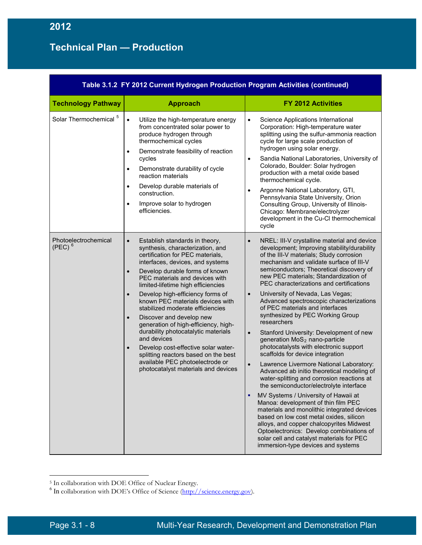| Table 3.1.2  FY 2012 Current Hydrogen Production Program Activities (continued) |                                                                                                                                                                                                                                                                                                                                                                                                                                                                                                                                                                                                                                                                                                                      |                                                                                                                                                                                                                                                                                                                                                                                                                                                                                                                                                                                                                                                                                                                                                                                                                                                                                                                                                                                                                                                                                                                                                                                                                                                         |  |  |  |
|---------------------------------------------------------------------------------|----------------------------------------------------------------------------------------------------------------------------------------------------------------------------------------------------------------------------------------------------------------------------------------------------------------------------------------------------------------------------------------------------------------------------------------------------------------------------------------------------------------------------------------------------------------------------------------------------------------------------------------------------------------------------------------------------------------------|---------------------------------------------------------------------------------------------------------------------------------------------------------------------------------------------------------------------------------------------------------------------------------------------------------------------------------------------------------------------------------------------------------------------------------------------------------------------------------------------------------------------------------------------------------------------------------------------------------------------------------------------------------------------------------------------------------------------------------------------------------------------------------------------------------------------------------------------------------------------------------------------------------------------------------------------------------------------------------------------------------------------------------------------------------------------------------------------------------------------------------------------------------------------------------------------------------------------------------------------------------|--|--|--|
| <b>Technology Pathway</b>                                                       | <b>Approach</b>                                                                                                                                                                                                                                                                                                                                                                                                                                                                                                                                                                                                                                                                                                      | <b>FY 2012 Activities</b>                                                                                                                                                                                                                                                                                                                                                                                                                                                                                                                                                                                                                                                                                                                                                                                                                                                                                                                                                                                                                                                                                                                                                                                                                               |  |  |  |
| Solar Thermochemical <sup>5</sup>                                               | $\bullet$<br>Utilize the high-temperature energy<br>from concentrated solar power to<br>produce hydrogen through<br>thermochemical cycles<br>Demonstrate feasibility of reaction<br>$\bullet$<br>cycles<br>Demonstrate durability of cycle<br>$\bullet$<br>reaction materials<br>Develop durable materials of<br>$\bullet$<br>construction.<br>Improve solar to hydrogen<br>$\bullet$<br>efficiencies.                                                                                                                                                                                                                                                                                                               | Science Applications International<br>$\bullet$<br>Corporation: High-temperature water<br>splitting using the sulfur-ammonia reaction<br>cycle for large scale production of<br>hydrogen using solar energy.<br>Sandia National Laboratories, University of<br>$\bullet$<br>Colorado, Boulder: Solar hydrogen<br>production with a metal oxide based<br>thermochemical cycle.<br>Argonne National Laboratory, GTI,<br>Pennsylvania State University, Orion<br>Consulting Group, University of Illinois-<br>Chicago: Membrane/electrolyzer<br>development in the Cu-CI thermochemical<br>cycle                                                                                                                                                                                                                                                                                                                                                                                                                                                                                                                                                                                                                                                           |  |  |  |
| Photoelectrochemical<br>$(PEC)^6$                                               | Establish standards in theory,<br>$\bullet$<br>synthesis, characterization, and<br>certification for PEC materials,<br>interfaces, devices, and systems<br>Develop durable forms of known<br>$\bullet$<br>PEC materials and devices with<br>limited-lifetime high efficiencies<br>Develop high-efficiency forms of<br>$\bullet$<br>known PEC materials devices with<br>stabilized moderate efficiencies<br>Discover and develop new<br>$\bullet$<br>generation of high-efficiency, high-<br>durability photocatalytic materials<br>and devices<br>Develop cost-effective solar water-<br>$\bullet$<br>splitting reactors based on the best<br>available PEC photoelectrode or<br>photocatalyst materials and devices | NREL: III-V crystalline material and device<br>$\bullet$<br>development; Improving stability/durability<br>of the III-V materials; Study corrosion<br>mechanism and validate surface of III-V<br>semiconductors; Theoretical discovery of<br>new PEC materials; Standardization of<br>PEC characterizations and certifications<br>University of Nevada, Las Vegas;<br>$\bullet$<br>Advanced spectroscopic characterizations<br>of PEC materials and interfaces<br>synthesized by PEC Working Group<br>researchers<br>Stanford University: Development of new<br>$\bullet$<br>generation MoS <sub>2</sub> nano-particle<br>photocatalysts with electronic support<br>scaffolds for device integration<br>Lawrence Livermore National Laboratory:<br>$\bullet$<br>Advanced ab initio theoretical modeling of<br>water-splitting and corrosion reactions at<br>the semiconductor/electrolyte interface<br>MV Systems / University of Hawaii at<br>Manoa: development of thin film PEC<br>materials and monolithic integrated devices<br>based on low cost metal oxides, silicon<br>alloys, and copper chalcopyrites Midwest<br>Optoelectronics: Develop combinations of<br>solar cell and catalyst materials for PEC<br>immersion-type devices and systems |  |  |  |

 $\overline{a}$ 

<span id="page-7-1"></span><span id="page-7-0"></span><sup>&</sup>lt;sup>5</sup> In collaboration with DOE Office of Nuclear Energy.

 $^6$  In collaboration with DOE's Office of Science  $(\frac{http://science.energy.gov)}$ .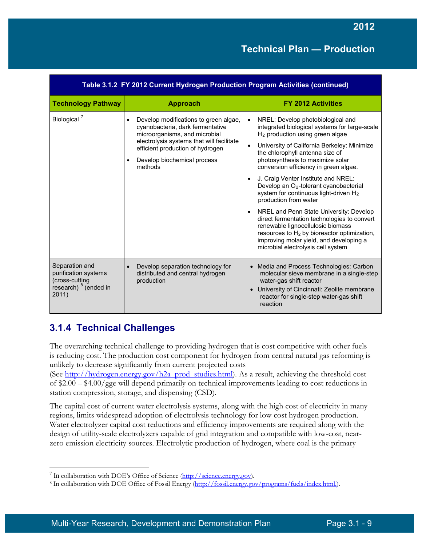| Table 3.1.2  FY 2012 Current Hydrogen Production Program Activities (continued)                       |                                                                                                                                                                                                                                                                 |                                                                                                                                                                                                                                                                                                                                                                                                                                                                                                                                                                                                                                                                                                                                     |  |  |  |
|-------------------------------------------------------------------------------------------------------|-----------------------------------------------------------------------------------------------------------------------------------------------------------------------------------------------------------------------------------------------------------------|-------------------------------------------------------------------------------------------------------------------------------------------------------------------------------------------------------------------------------------------------------------------------------------------------------------------------------------------------------------------------------------------------------------------------------------------------------------------------------------------------------------------------------------------------------------------------------------------------------------------------------------------------------------------------------------------------------------------------------------|--|--|--|
| <b>Technology Pathway</b>                                                                             | <b>Approach</b>                                                                                                                                                                                                                                                 | <b>FY 2012 Activities</b>                                                                                                                                                                                                                                                                                                                                                                                                                                                                                                                                                                                                                                                                                                           |  |  |  |
| Biological <sup>7</sup>                                                                               | Develop modifications to green algae,<br>$\bullet$<br>cyanobacteria, dark fermentative<br>microorganisms, and microbial<br>electrolysis systems that will facilitate<br>efficient production of hydrogen<br>Develop biochemical process<br>$\bullet$<br>methods | NREL: Develop photobiological and<br>integrated biological systems for large-scale<br>$H2$ production using green algae<br>University of California Berkeley: Minimize<br>the chlorophyll antenna size of<br>photosynthesis to maximize solar<br>conversion efficiency in green algae.<br>J. Craig Venter Institute and NREL:<br>Develop an O <sub>2</sub> -tolerant cyanobacterial<br>system for continuous light-driven H <sub>2</sub><br>production from water<br>NREL and Penn State University: Develop<br>direct fermentation technologies to convert<br>renewable lignocellulosic biomass<br>resources to $H_2$ by bioreactor optimization,<br>improving molar yield, and developing a<br>microbial electrolysis cell system |  |  |  |
| Separation and<br>purification systems<br>(cross-cutting<br>research) <sup>8</sup> (ended in<br>2011) | Develop separation technology for<br>$\bullet$<br>distributed and central hydrogen<br>production                                                                                                                                                                | Media and Process Technologies: Carbon<br>$\bullet$<br>molecular sieve membrane in a single-step<br>water-gas shift reactor<br>University of Cincinnati: Zeolite membrane<br>reactor for single-step water-gas shift<br>reaction                                                                                                                                                                                                                                                                                                                                                                                                                                                                                                    |  |  |  |

## **3.1.4 Technical Challenges**

The overarching technical challenge to providing hydrogen that is cost competitive with other fuels is reducing cost. The production cost component for hydrogen from central natural gas reforming is unlikely to decrease significantly from current projected costs

(See [http://hydrogen.energy.gov/h2a\\_prod\\_studies.html\)](http://hydrogen.energy.gov/h2a_prod_studies.html). As a result, achieving the threshold cost of \$2.00 – \$4.00/gge will depend primarily on technical improvements leading to cost reductions in station compression, storage, and dispensing (CSD).

The capital cost of current water electrolysis systems, along with the high cost of electricity in many regions, limits widespread adoption of electrolysis technology for low cost hydrogen production. Water electrolyzer capital cost reductions and efficiency improvements are required along with the design of utility-scale electrolyzers capable of grid integration and compatible with low-cost, nearzero emission electricity sources. Electrolytic production of hydrogen, where coal is the primary

<span id="page-8-0"></span> <sup>7</sup> In collaboration with DOE's Office of Science [\(http://science.energy.gov\)](http://science.energy.gov/).

<span id="page-8-1"></span><sup>&</sup>lt;sup>8</sup> In collaboration with DOE Office of Fossil Energy (http://fossil.energy.gov/programs/fuels/index.html.).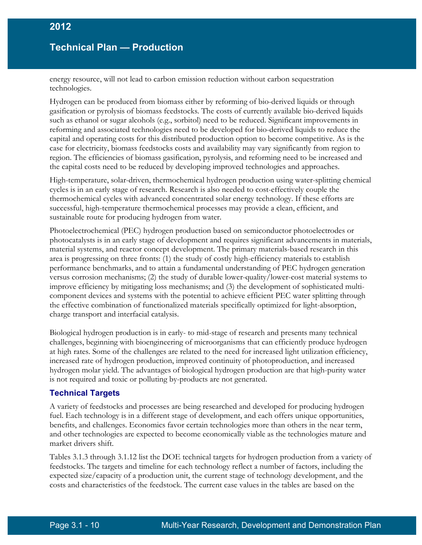energy resource, will not lead to carbon emission reduction without carbon sequestration technologies.

Hydrogen can be produced from biomass either by reforming of bio-derived liquids or through gasification or pyrolysis of biomass feedstocks. The costs of currently available bio-derived liquids such as ethanol or sugar alcohols (e.g., sorbitol) need to be reduced. Significant improvements in reforming and associated technologies need to be developed for bio-derived liquids to reduce the capital and operating costs for this distributed production option to become competitive. As is the case for electricity, biomass feedstocks costs and availability may vary significantly from region to region. The efficiencies of biomass gasification, pyrolysis, and reforming need to be increased and the capital costs need to be reduced by developing improved technologies and approaches.

High-temperature, solar-driven, thermochemical hydrogen production using water-splitting chemical cycles is in an early stage of research. Research is also needed to cost-effectively couple the thermochemical cycles with advanced concentrated solar energy technology. If these efforts are successful, high-temperature thermochemical processes may provide a clean, efficient, and sustainable route for producing hydrogen from water.

Photoelectrochemical (PEC) hydrogen production based on semiconductor photoelectrodes or photocatalysts is in an early stage of development and requires significant advancements in materials, material systems, and reactor concept development. The primary materials-based research in this area is progressing on three fronts: (1) the study of costly high-efficiency materials to establish performance benchmarks, and to attain a fundamental understanding of PEC hydrogen generation versus corrosion mechanisms; (2) the study of durable lower-quality/lower-cost material systems to improve efficiency by mitigating loss mechanisms; and (3) the development of sophisticated multicomponent devices and systems with the potential to achieve efficient PEC water splitting through the effective combination of functionalized materials specifically optimized for light-absorption, charge transport and interfacial catalysis.

Biological hydrogen production is in early- to mid-stage of research and presents many technical challenges, beginning with bioengineering of microorganisms that can efficiently produce hydrogen at high rates. Some of the challenges are related to the need for increased light utilization efficiency, increased rate of hydrogen production, improved continuity of photoproduction, and increased hydrogen molar yield. The advantages of biological hydrogen production are that high-purity water is not required and toxic or polluting by-products are not generated.

#### **Technical Targets**

A variety of feedstocks and processes are being researched and developed for producing hydrogen fuel. Each technology is in a different stage of development, and each offers unique opportunities, benefits, and challenges. Economics favor certain technologies more than others in the near term, and other technologies are expected to become economically viable as the technologies mature and market drivers shift.

Tables 3.1.3 through 3.1.12 list the DOE technical targets for hydrogen production from a variety of feedstocks. The targets and timeline for each technology reflect a number of factors, including the expected size/capacity of a production unit, the current stage of technology development, and the costs and characteristics of the feedstock. The current case values in the tables are based on the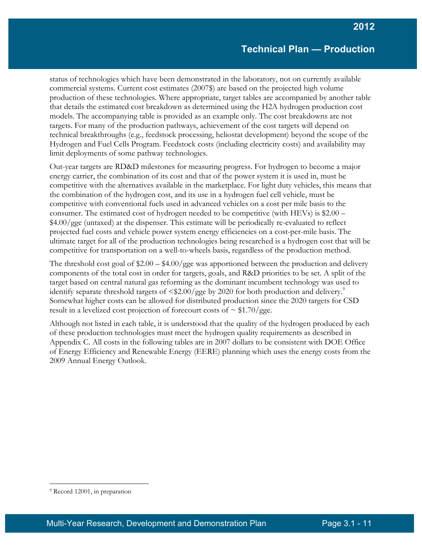status of technologies which have been demonstrated in the laboratory, not on currently available commercial systems. Current cost estimates (2007\$) are based on the projected high volume production of these technologies. Where appropriate, target tables are accompanied by another table that details the estimated cost breakdown as determined using the H2A hydrogen production cost models. The accompanying table is provided as an example only. The cost breakdowns are not targets. For many of the production pathways, achievement of the cost targets will depend on technical breakthroughs (e.g., feedstock processing, heliostat development) beyond the scope of the Hydrogen and Fuel Cells Program. Feedstock costs (including electricity costs) and availability may limit deployments of some pathway technologies.

Out-year targets are RD&D milestones for measuring progress. For hydrogen to become a major energy carrier, the combination of its cost and that of the power system it is used in, must be competitive with the alternatives available in the marketplace. For light duty vehicles, this means that the combination of the hydrogen cost, and its use in a hydrogen fuel cell vehicle, must be competitive with conventional fuels used in advanced vehicles on a cost per mile basis to the consumer. The estimated cost of hydrogen needed to be competitive (with HEVs) is \$2.00 – \$4.00/gge (untaxed) at the dispenser. This estimate will be periodically re-evaluated to reflect projected fuel costs and vehicle power system energy efficiencies on a cost-per-mile basis. The ultimate target for all of the production technologies being researched is a hydrogen cost that will be competitive for transportation on a well-to-wheels basis, regardless of the production method.

The threshold cost goal of \$2.00 – \$4.00/gge was apportioned between the production and delivery components of the total cost in order for targets, goals, and R&D priorities to be set. A split of the target based on central natural gas reforming as the dominant incumbent technology was used to identify separate threshold targets of  $\langle $2.00/gge$  by 2020 for both production and delivery.<sup>[9](#page-10-0)</sup> Somewhat higher costs can be allowed for distributed production since the 2020 targets for CSD result in a levelized cost projection of forecourt costs of  $\sim$  \$1.70/gge.

Although not listed in each table, it is understood that the quality of the hydrogen produced by each of these production technologies must meet the hydrogen quality requirements as described in Appendix C. All costs in the following tables are in 2007 dollars to be consistent with DOE Office of Energy Efficiency and Renewable Energy (EERE) planning which uses the energy costs from the 2009 Annual Energy Outlook.

 $\overline{a}$ 

<span id="page-10-0"></span><sup>&</sup>lt;sup>9</sup> Record 12001, in preparation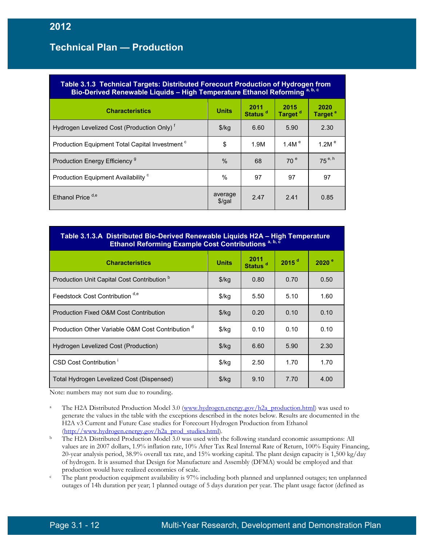| Table 3.1.3 Technical Targets: Distributed Forecourt Production of Hydrogen from<br>Bio-Derived Renewable Liquids - High Temperature Ethanol Reforming <sup>a, b, c</sup> |                     |                             |                             |                             |  |  |
|---------------------------------------------------------------------------------------------------------------------------------------------------------------------------|---------------------|-----------------------------|-----------------------------|-----------------------------|--|--|
| <b>Characteristics</b>                                                                                                                                                    | <b>Units</b>        | 2011<br>Status <sup>d</sup> | 2015<br>Target <sup>d</sup> | 2020<br>Target <sup>e</sup> |  |  |
| Hydrogen Levelized Cost (Production Only) <sup>t</sup>                                                                                                                    | $$$ /kg             | 6.60                        | 5.90                        | 2.30                        |  |  |
| Production Equipment Total Capital Investment <sup>c</sup>                                                                                                                | \$                  | 1.9M                        | 1.4M $^{\circ}$             | 1.2M $^{\circ}$             |  |  |
| Production Energy Efficiency <sup>9</sup>                                                                                                                                 | $\%$                | 68                          | 70 <sup>e</sup>             | $75^{e, h}$                 |  |  |
| Production Equipment Availability <sup>c</sup>                                                                                                                            | $\%$                | 97                          | 97                          | 97                          |  |  |
| Ethanol Price <sup>d,e</sup>                                                                                                                                              | average<br>$$$ /gal | 2.47                        | 2.41                        | 0.85                        |  |  |

#### **Table 3.1.3.A Distributed Bio-Derived Renewable Liquids H2A – High Temperature Ethanol Reforming Example Cost Contributions a, b, c**

| <b>Characteristics</b>                                       | <b>Units</b>  | 2011<br>Status <sup>d</sup> | $2015$ <sup>d</sup> | 2020 <sup>°</sup> |
|--------------------------------------------------------------|---------------|-----------------------------|---------------------|-------------------|
| Production Unit Capital Cost Contribution <sup>b</sup>       | $\frac{f}{g}$ | 0.80                        | 0.70                | 0.50              |
| Feedstock Cost Contribution d,e                              | $\frac{1}{2}$ | 5.50                        | 5.10                | 1.60              |
| Production Fixed O&M Cost Contribution                       | $\frac{f}{g}$ | 0.20                        | 0.10                | 0.10              |
| Production Other Variable O&M Cost Contribution <sup>d</sup> | $\frac{1}{2}$ | 0.10                        | 0.10                | 0.10              |
| Hydrogen Levelized Cost (Production)                         | $\frac{f}{g}$ | 6.60                        | 5.90                | 2.30              |
| CSD Cost Contribution                                        | $\frac{1}{2}$ | 2.50                        | 1.70                | 1.70              |
| Total Hydrogen Levelized Cost (Dispensed)                    | $\frac{1}{2}$ | 9.10                        | 7.70                | 4.00              |

Note: numbers may not sum due to rounding.

- <sup>a</sup> The H2A Distributed Production Model 3.0 [\(www.hydrogen.energy.gov/h2a\\_production.html\)](http://www.hydrogen.energy.gov/h2a_production.html) was used to generate the values in the table with the exceptions described in the notes below. Results are documented in the H2A v3 Current and Future Case studies for Forecourt Hydrogen Production from Ethanol (http://www.hydrogen.energy.gov/h2a\_prod\_studies.html).
- <sup>b</sup> The H2A Distributed Production Model 3.0 was used with the following standard economic assumptions: All values are in 2007 dollars, 1.9% inflation rate, 10% After Tax Real Internal Rate of Return, 100% Equity Financing, 20-year analysis period, 38.9% overall tax rate, and 15% working capital. The plant design capacity is 1,500 kg/day of hydrogen. It is assumed that Design for Manufacture and Assembly (DFMA) would be employed and that
- production would have realized economies of scale.<br>The plant production equipment availability is 97% including both planned and unplanned outages; ten unplanned outages of 14h duration per year; 1 planned outage of 5 days duration per year. The plant usage factor (defined as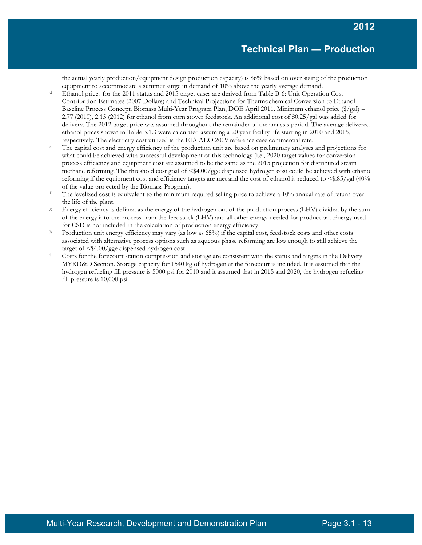the actual yearly production/equipment design production capacity) is 86% based on over sizing of the production equipment to accommodate a summer surge in demand of 10% above the yearly average demand.

- Ethanol prices for the 2011 status and 2015 target cases are derived from Table B-6: Unit Operation Cost Contribution Estimates (2007 Dollars) and Technical Projections for Thermochemical Conversion to Ethanol Baseline Process Concept. Biomass Multi-Year Program Plan, DOE April 2011. Minimum ethanol price (\$/gal) = 2.77 (2010), 2.15 (2012) for ethanol from corn stover feedstock. An additional cost of \$0.25/gal was added for delivery. The 2012 target price was assumed throughout the remainder of the analysis period. The average delivered ethanol prices shown in Table 3.1.3 were calculated assuming a 20 year facility life starting in 2010 and 2015,
- respectively. The electricity cost utilized is the EIA AEO 2009 reference case commercial rate.<br>The capital cost and energy efficiency of the production unit are based on preliminary analyses and projections for what could be achieved with successful development of this technology (i.e., 2020 target values for conversion process efficiency and equipment cost are assumed to be the same as the 2015 projection for distributed steam methane reforming. The threshold cost goal of <\$4.00/gge dispensed hydrogen cost could be achieved with ethanol reforming if the equipment cost and efficiency targets are met and the cost of ethanol is reduced to <\$.85/gal (40% of the value projected by the Biomass Program).
- <sup>f</sup> The levelized cost is equivalent to the minimum required selling price to achieve a  $10\%$  annual rate of return over the life of the plant.
- <sup>g</sup> Energy efficiency is defined as the energy of the hydrogen out of the production process (LHV) divided by the sum of the energy into the process from the feedstock (LHV) and all other energy needed for production. Energy used
- for CSD is not included in the calculation of production energy efficiency.<br>h Production unit energy efficiency may vary (as low as 65%) if the capital cost, feedstock costs and other costs associated with alternative process options such as aqueous phase reforming are low enough to still achieve the target of  $\leq$  \$4.00/gge dispensed hydrogen cost.<br>Costs for the forecourt station compression and storage are consistent with the status and targets in the Delivery
- MYRD&D Section. Storage capacity for 1540 kg of hydrogen at the forecourt is included. It is assumed that the hydrogen refueling fill pressure is 5000 psi for 2010 and it assumed that in 2015 and 2020, the hydrogen refueling fill pressure is 10,000 psi.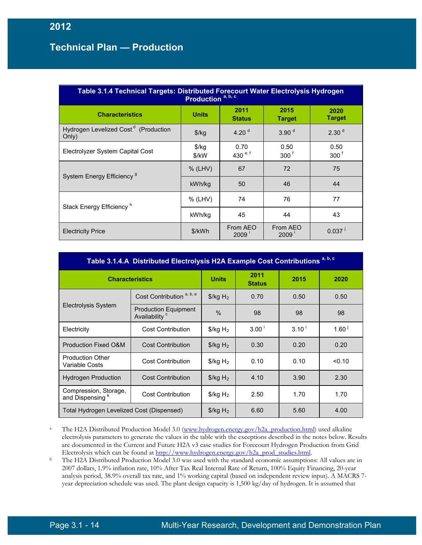| Table 3.1.4 Technical Targets: Distributed Forecourt Water Electrolysis Hydrogen<br>Production <sup>a, b, c</sup> |                        |                       |                          |                          |  |  |  |
|-------------------------------------------------------------------------------------------------------------------|------------------------|-----------------------|--------------------------|--------------------------|--|--|--|
| <b>Characteristics</b>                                                                                            | <b>Units</b>           | 2011<br><b>Status</b> | 2015<br><b>Target</b>    | 2020<br><b>Target</b>    |  |  |  |
| Hydrogen Levelized Cost <sup>d</sup> (Production<br>Only)                                                         | $\frac{f}{g}$          | 4.20 $d$              | 3.90 <sup>d</sup>        | 2.30 <sup>d</sup>        |  |  |  |
| Electrolyzer System Capital Cost                                                                                  | $\frac{f}{g}$<br>\$/kW | 0.70<br>430 $e, f$    | 0.50<br>300 <sup>6</sup> | 0.50<br>300 <sup>f</sup> |  |  |  |
| System Energy Efficiency <sup>9</sup>                                                                             | $%$ (LHV)              | 67                    | 72                       | 75                       |  |  |  |
|                                                                                                                   | kWh/kg                 | 50                    | 46                       | 44                       |  |  |  |
| Stack Energy Efficiency <sup>h</sup>                                                                              | % (LHV)                | 74                    | 76                       | 77                       |  |  |  |
|                                                                                                                   | kWh/kg                 | 45                    | 44                       | 43                       |  |  |  |
| <b>Electricity Price</b>                                                                                          | \$/kWh                 | From AEO<br>2009'     | From AEO<br>2009         | $0.037$ <sup>j</sup>     |  |  |  |

| Table 3.1.4.A Distributed Electrolysis H2A Example Cost Contributions <sup>a, b, c</sup> |                                                          |                                  |                       |                                  |                   |  |
|------------------------------------------------------------------------------------------|----------------------------------------------------------|----------------------------------|-----------------------|----------------------------------|-------------------|--|
| <b>Characteristics</b>                                                                   |                                                          | <b>Units</b>                     | 2011<br><b>Status</b> | 2015                             | 2020              |  |
|                                                                                          | Cost Contribution <sup>a, b, e</sup>                     | $\frac{1}{2}$ /kg H <sub>2</sub> | 0.70                  | 0.50                             | 0.50              |  |
| Electrolysis System                                                                      | <b>Production Equipment</b><br>Availability <sup>c</sup> | $\frac{0}{0}$                    | 98                    | 98                               | 98                |  |
| Electricity                                                                              | <b>Cost Contribution</b>                                 | $\frac{1}{2}$ /kg H <sub>2</sub> | 3.00 <sup>1</sup>     | $3.10$ <sup><math>+</math></sup> | 1.60 <sup>1</sup> |  |
| <b>Production Fixed O&amp;M</b>                                                          | <b>Cost Contribution</b>                                 | $\frac{1}{2}$ /kg H <sub>2</sub> | 0.30                  | 0.20                             | 0.20              |  |
| <b>Production Other</b><br><b>Variable Costs</b>                                         | <b>Cost Contribution</b>                                 | $\frac{1}{2}$ /kg H <sub>2</sub> | 0.10                  | 0.10                             | < 0.10            |  |
| <b>Hydrogen Production</b>                                                               | <b>Cost Contribution</b>                                 | $\frac{1}{2}$ /kg H <sub>2</sub> | 4.10                  | 3.90                             | 2.30              |  |
| Compression, Storage,<br>and Dispensing <sup>k</sup>                                     | <b>Cost Contribution</b>                                 | $\frac{1}{2}$ /kg H <sub>2</sub> | 2.50                  | 1.70                             | 1.70              |  |
| Total Hydrogen Levelized Cost (Dispensed)                                                |                                                          | $\frac{1}{2}$ /kg H <sub>2</sub> | 6.60                  | 5.60                             | 4.00              |  |

<sup>a</sup> The H2A Distributed Production Model 3.0 [\(www.hydrogen.energy.gov/h2a\\_production.html\)](http://www.hydrogen.energy.gov/h2a_production.html) used alkaline electrolysis parameters to generate the values in the table with the exceptions described in the notes below. Results are documented in the Current and Future H2A v3 case studies for Forecourt Hydrogen Production from Grid Electrolysis which can be found at [http://www.hydrogen.energy.gov/h2a\\_prod\\_studies.html.](http://www.hydrogen.energy.gov/h2a_prod_studies.html)

<sup>b</sup> The H2A Distributed Production Model 3.0 was used with the standard economic assumptions: All values are in 2007 dollars, 1.9% inflation rate, 10% After Tax Real Internal Rate of Return, 100% Equity Financing, 20-year analysis period, 38.9% overall tax rate, and 1% working capital (based on independent review input). A MACRS 7 year depreciation schedule was used. The plant design capacity is 1,500 kg/day of hydrogen. It is assumed that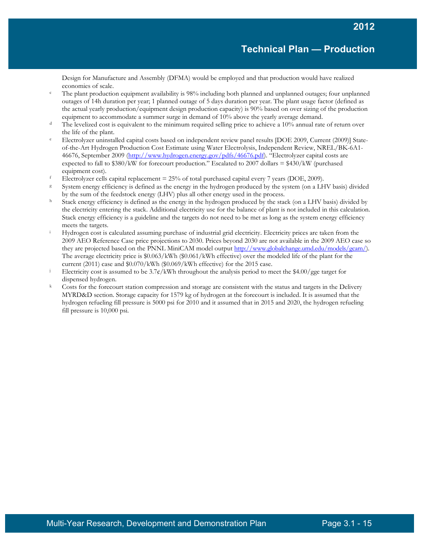Design for Manufacture and Assembly (DFMA) would be employed and that production would have realized economies of scale.

- <sup>c</sup> The plant production equipment availability is 98% including both planned and unplanned outages; four unplanned outages of 14h duration per year; 1 planned outage of 5 days duration per year. The plant usage factor (defined as the actual yearly production/equipment design production capacity) is 90% based on over sizing of the production equipment to accommodate a summer surge in demand of 10% above the yearly average demand.
- $d$  The levelized cost is equivalent to the minimum required selling price to achieve a 10% annual rate of return over
- the life of the plant.<br>
Electrolyzer uninstalled capital costs based on independent review panel results [DOE 2009, Current (2009)] Stateof-the-Art Hydrogen Production Cost Estimate using Water Electrolysis, Independent Review, NREL/BK-6A1- 46676, September 2009 [\(http://www.hydrogen.energy.gov/pdfs/46676.pdf\)](http://www.hydrogen.energy.gov/pdfs/46676.pdf). "Electrolyzer capital costs are expected to fall to  $$380/kW$  for forecourt production." Escalated to  $2007$  dollars =  $$430/kW$  (purchased equipment cost).
- <sup>f</sup> Electrolyzer cells capital replacement =  $25\%$  of total purchased capital every 7 years (DOE, 2009).
- <sup>g</sup> System energy efficiency is defined as the energy in the hydrogen produced by the system (on a LHV basis) divided by the sum of the feedstock energy (LHV) plus all other energy used in the process.<br>
h Stack energy efficiency is defined as the energy in the hydrogen produced by the stack (on a LHV basis) divided by
- the electricity entering the stack. Additional electricity use for the balance of plant is not included in this calculation. Stack energy efficiency is a guideline and the targets do not need to be met as long as the system energy efficiency meets the targets.
- <sup>i</sup> Hydrogen cost is calculated assuming purchase of industrial grid electricity. Electricity prices are taken from the 2009 AEO Reference Case price projections to 2030. Prices beyond 2030 are not available in the 2009 AEO case so they are projected based on the PNNL MiniCAM model output [http://www.globalchange.umd.edu/models/gcam/\)](http://www.globalchange.umd.edu/models/gcam/). The average electricity price is \$0.063/kWh (\$0.061/kWh effective) over the modeled life of the plant for the current (2011) case and \$0.070/kWh (\$0.069/kWh effective) for the 2015 case.
- Electricity cost is assumed to be  $3.7\frac{\epsilon}{kWh}$  throughout the analysis period to meet the \$4.00/gge target for dispensed hydrogen.
- $k$  Costs for the forecourt station compression and storage are consistent with the status and targets in the Delivery MYRD&D section. Storage capacity for 1579 kg of hydrogen at the forecourt is included. It is assumed that the hydrogen refueling fill pressure is 5000 psi for 2010 and it assumed that in 2015 and 2020, the hydrogen refueling fill pressure is 10,000 psi.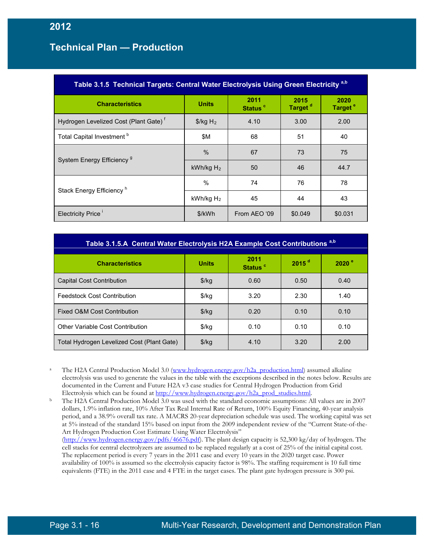| Table 3.1.5 Technical Targets: Central Water Electrolysis Using Green Electricity <sup>a,b</sup> |                                  |                             |                             |                             |  |  |  |
|--------------------------------------------------------------------------------------------------|----------------------------------|-----------------------------|-----------------------------|-----------------------------|--|--|--|
| <b>Characteristics</b>                                                                           | <b>Units</b>                     | 2011<br>Status <sup>c</sup> | 2015<br>Target <sup>d</sup> | 2020<br>Target <sup>e</sup> |  |  |  |
| Hydrogen Levelized Cost (Plant Gate) <sup>f</sup>                                                | $\frac{1}{2}$ /kg H <sub>2</sub> | 4.10                        | 3.00                        | 2.00                        |  |  |  |
| Total Capital Investment <sup>b</sup>                                                            | \$M                              | 68                          | 51                          | 40                          |  |  |  |
|                                                                                                  | $\%$                             | 67                          | 73                          | 75                          |  |  |  |
| System Energy Efficiency <sup>9</sup>                                                            | kWh/kg $H_2$                     | 50                          | 46                          | 44.7                        |  |  |  |
|                                                                                                  | %                                | 74                          | 76                          | 78                          |  |  |  |
| Stack Energy Efficiency <sup>h</sup>                                                             | kWh/kg $H_2$                     | 45                          | 44                          | 43                          |  |  |  |
| Electricity Price <sup>1</sup>                                                                   | \$/kWh                           | From AEO '09                | \$0.049                     | \$0.031                     |  |  |  |

| Table 3.1.5.A Central Water Electrolysis H2A Example Cost Contributions <sup>a,b</sup> |              |                             |                   |                   |  |  |
|----------------------------------------------------------------------------------------|--------------|-----------------------------|-------------------|-------------------|--|--|
| <b>Characteristics</b>                                                                 | <b>Units</b> | 2011<br>Status <sup>c</sup> | 2015 <sup>d</sup> | 2020 <sup>°</sup> |  |  |
| <b>Capital Cost Contribution</b>                                                       | $$$ /kg      | 0.60                        | 0.50              | 0.40              |  |  |
| <b>Feedstock Cost Contribution</b>                                                     | $$$ /kg      | 3.20                        | 2.30              | 1.40              |  |  |
| Fixed O&M Cost Contribution                                                            | $$$ /kg      | 0.20                        | 0.10              | 0.10              |  |  |
| Other Variable Cost Contribution                                                       | $$$ /kg      | 0.10                        | 0.10              | 0.10              |  |  |
| Total Hydrogen Levelized Cost (Plant Gate)                                             | \$/kg        | 4.10                        | 3.20              | 2.00              |  |  |

<sup>a</sup> The H2A Central Production Model 3.0 [\(www.hydrogen.energy.gov/h2a\\_production.html\)](http://www.hydrogen.energy.gov/h2a_production.html) assumed alkaline electrolysis was used to generate the values in the table with the exceptions described in the notes below. Results are documented in the Current and Future H2A v3 case studies for Central Hydrogen Production from Grid Electrolysis which can be found at [http://www.hydrogen.energy.gov/h2a\\_prod\\_studies.html.](http://www.hydrogen.energy.gov/h2a_prod_studies.html)

<sup>b</sup> The H2A Central Production Model 3.0 was used with the standard economic assumptions: All values are in 2007 dollars, 1.9% inflation rate, 10% After Tax Real Internal Rate of Return, 100% Equity Financing, 40-year analysis period, and a 38.9% overall tax rate. A MACRS 20-year depreciation schedule was used. The working capital was set at 5% instead of the standard 15% based on input from the 2009 independent review of the "Current State-of-the-Art Hydrogen Production Cost Estimate Using Water Electrolysis" [\(http://www.hydrogen.energy.gov/pdfs/46676.pdf\)](http://www.hydrogen.energy.gov/pdfs/46676.pdf). The plant design capacity is 52,300 kg/day of hydrogen. The cell stacks for central electrolyzers are assumed to be replaced regularly at a cost of 25% of the initial capital cost. The replacement period is every 7 years in the 2011 case and every 10 years in the 2020 target case. Power availability of 100% is assumed so the electrolysis capacity factor is 98%. The staffing requirement is 10 full time equivalents (FTE) in the 2011 case and 4 FTE in the target cases. The plant gate hydrogen pressure is 300 psi.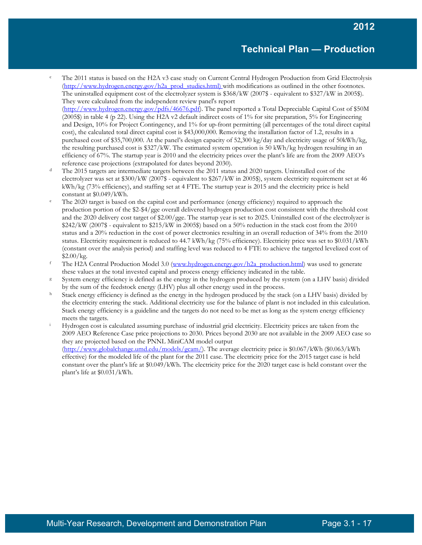- <sup>c</sup> The 2011 status is based on the H2A v3 case study on Current Central Hydrogen Production from Grid Electrolysis [\(http://www.hydrogen.energy.gov/h2a\\_prod\\_studies.html\)](http://www.hydrogen.energy.gov/h2a_prod_studies.html) with modifications as outlined in the other footnotes. The uninstalled equipment cost of the electrolyzer system is \$368/kW (2007\$ - equivalent to \$327/kW in 2005\$). They were calculated from the independent review panel's report [\(http://www.hydrogen.energy.gov/pdfs/46676.pdf\)](http://www.hydrogen.energy.gov/pdfs/46676.pdf). The panel reported a Total Depreciable Capital Cost of \$50M (2005\$) in table 4 (p 22). Using the H2A v2 default indirect costs of 1% for site preparation, 5% for Engineering and Design, 10% for Project Contingency, and 1% for up-front permitting (all percentages of the total direct capital cost), the calculated total direct capital cost is \$43,000,000. Removing the installation factor of 1.2, results in a purchased cost of \$35,700,000. At the panel's design capacity of 52,300 kg/day and electricity usage of 50kWh/kg, the resulting purchased cost is \$327/kW. The estimated system operation is 50 kWh/kg hydrogen resulting in an efficiency of 67%. The startup year is 2010 and the electricity prices over the plant's life are from the 2009 AEO's
- reference case projections (extrapolated for dates beyond 2030).<br>The 2015 targets are intermediate targets between the 2011 status and 2020 targets. Uninstalled cost of the electrolyzer was set at \$300/kW (2007\$ - equivalent to \$267/kW in 2005\$), system electricity requirement set at 46 kWh/kg (73% efficiency), and staffing set at 4 FTE. The startup year is 2015 and the electricity price is held constant at  $$0.049/kWh$ .<br>The 2020 target is based on the capital cost and performance (energy efficiency) required to approach the
- production portion of the \$2-\$4/gge overall delivered hydrogen production cost consistent with the threshold cost and the 2020 delivery cost target of \$2.00/gge. The startup year is set to 2025. Uninstalled cost of the electrolyzer is \$242/kW (2007\$ - equivalent to \$215/kW in 2005\$) based on a 50% reduction in the stack cost from the 2010 status and a 20% reduction in the cost of power electronics resulting in an overall reduction of 34% from the 2010 status. Electricity requirement is reduced to 44.7 kWh/kg (75% efficiency). Electricity price was set to \$0.031/kWh (constant over the analysis period) and staffing level was reduced to 4 FTE to achieve the targeted levelized cost of \$2.00/kg.
- <sup>f</sup> The H2A Central Production Model 3.0 [\(www.hydrogen.energy.gov/h2a\\_production.html\)](http://www.hydrogen.energy.gov/h2a_production.html) was used to generate these values at the total invested capital and process energy efficiency indicated in the table.<br>System energy efficiency is defined as the energy in the hydrogen produced by the system (on a LHV basis) divided
- 
- by the sum of the feedstock energy (LHV) plus all other energy used in the process.<br>Stack energy efficiency is defined as the energy in the hydrogen produced by the stack (on a LHV basis) divided by the electricity entering the stack. Additional electricity use for the balance of plant is not included in this calculation. Stack energy efficiency is a guideline and the targets do not need to be met as long as the system energy efficiency meets the targets.
- Hydrogen cost is calculated assuming purchase of industrial grid electricity. Electricity prices are taken from the 2009 AEO Reference Case price projections to 2030. Prices beyond 2030 are not available in the 2009 AEO case so they are projected based on the PNNL MiniCAM model output [\(http://www.globalchange.umd.edu/models/gcam/\)](http://www.globalchange.umd.edu/models/gcam/). The average electricity price is \$0.067/kWh (\$0.063/kWh) effective) for the modeled life of the plant for the 2011 case. The electricity price for the 2015 target case is held constant over the plant's life at \$0.049/kWh. The electricity price for the 2020 target case is held constant over the plant's life at \$0.031/kWh.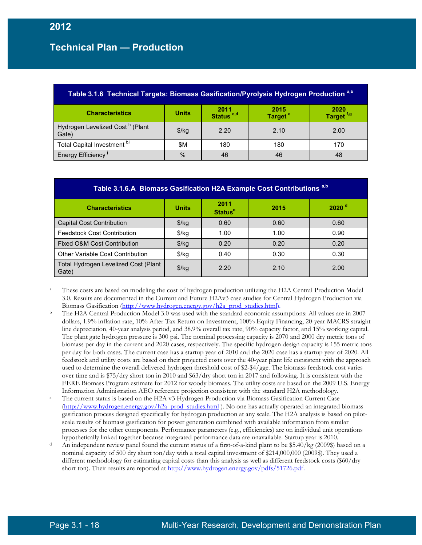| Table 3.1.6 Technical Targets: Biomass Gasification/Pyrolysis Hydrogen Production a,b                                                     |               |      |      |      |  |  |  |  |
|-------------------------------------------------------------------------------------------------------------------------------------------|---------------|------|------|------|--|--|--|--|
| 2020<br>2015<br>Target <sup>e</sup><br>$2011$<br>Status <sup>c,d</sup><br><b>Units</b><br><b>Characteristics</b><br>Target <sup>f,g</sup> |               |      |      |      |  |  |  |  |
| Hydrogen Levelized Cost <sup>h</sup> (Plant<br>Gate)                                                                                      | \$/kg         | 2.20 | 2.10 | 2.00 |  |  |  |  |
| Total Capital Investment b,i                                                                                                              | \$M           | 180  | 180  | 170  |  |  |  |  |
| Energy Efficiency <sup>J</sup>                                                                                                            | $\frac{0}{0}$ | 46   | 46   | 48   |  |  |  |  |

| Table 3.1.6.A Biomass Gasification H2A Example Cost Contributions <sup>a,b</sup> |               |                                   |      |                     |  |  |  |
|----------------------------------------------------------------------------------|---------------|-----------------------------------|------|---------------------|--|--|--|
| <b>Characteristics</b>                                                           | <b>Units</b>  | 2011<br><b>Status<sup>c</sup></b> | 2015 | $2020$ <sup>d</sup> |  |  |  |
| <b>Capital Cost Contribution</b>                                                 | $\frac{f}{g}$ | 0.60                              | 0.60 | 0.60                |  |  |  |
| <b>Feedstock Cost Contribution</b>                                               | $\frac{1}{2}$ | 1.00                              | 1.00 | 0.90                |  |  |  |
| Fixed O&M Cost Contribution                                                      | $\frac{f}{g}$ | 0.20                              | 0.20 | 0.20                |  |  |  |
| <b>Other Variable Cost Contribution</b>                                          | $\frac{f}{g}$ | 0.40                              | 0.30 | 0.30                |  |  |  |
| Total Hydrogen Levelized Cost (Plant<br>Gate)                                    | \$/kg         | 2.20                              | 2.10 | 2.00                |  |  |  |

These costs are based on modeling the cost of hydrogen production utilizing the H2A Central Production Model 3.0. Results are documented in the Current and Future H2Av3 case studies for Central Hydrogen Production via Biomass Gasification [\(http://www.hydrogen.energy.gov/h2a\\_prod\\_studies.html\)](http://www.hydrogen.energy.gov/h2a_prod_studies.html).

- <sup>b</sup> The H2A Central Production Model 3.0 was used with the standard economic assumptions: All values are in 2007 dollars, 1.9% inflation rate, 10% After Tax Return on Investment, 100% Equity Financing, 20-year MACRS straight line depreciation, 40-year analysis period, and 38.9% overall tax rate, 90% capacity factor, and 15% working capital. The plant gate hydrogen pressure is 300 psi. The nominal processing capacity is 2070 and 2000 dry metric tons of biomass per day in the current and 2020 cases, respectively. The specific hydrogen design capacity is 155 metric tons per day for both cases. The current case has a startup year of 2010 and the 2020 case has a startup year of 2020. All feedstock and utility costs are based on their projected costs over the 40-year plant life consistent with the approach used to determine the overall delivered hydrogen threshold cost of \$2-\$4/gge. The biomass feedstock cost varies over time and is \$75/dry short ton in 2010 and \$63/dry short ton in 2017 and following. It is consistent with the EERE Biomass Program estimate for 2012 for woody biomass. The utility costs are based on the 2009 U.S. Energy Information Administration AEO reference projection consistent with the standard H2A methodology.
- The current status is based on the H2A v3 Hydrogen Production via Biomass Gasification Current Case [\(http://www.hydrogen.energy.gov/h2a\\_prod\\_studies.html](http://www.hydrogen.energy.gov/h2a_prod_studies.html) ). No one has actually operated an integrated biomass gasification process designed specifically for hydrogen production at any scale. The H2A analysis is based on pilotscale results of biomass gasification for power generation combined with available information from similar processes for the other components. Performance parameters (e.g., efficiencies) are on individual unit operations
- hypothetically linked together because integrated performance data are unavailable. Startup year is 2010.<br>An independent review panel found the current status of a first-of-a-kind plant to be \$5.40/kg (2009\$) based on a nominal capacity of 500 dry short ton/day with a total capital investment of \$214,000,000 (2009\$). They used a different methodology for estimating capital costs than this analysis as well as different feedstock costs (\$60/dry short ton). Their results are reported at [http://www.hydrogen.energy.gov/pdfs/51726.pdf.](http://www.hydrogen.energy.gov/pdfs/51726.pdf)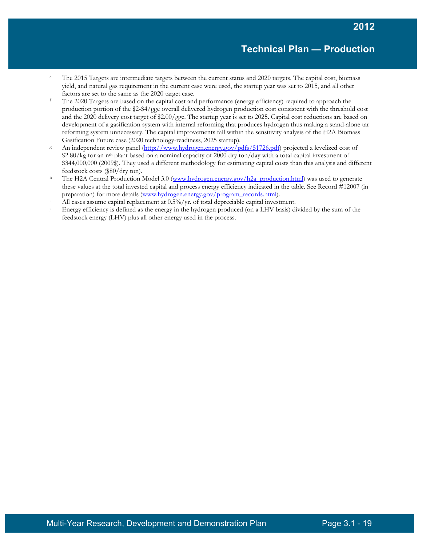- The 2015 Targets are intermediate targets between the current status and 2020 targets. The capital cost, biomass yield, and natural gas requirement in the current case were used, the startup year was set to 2015, and all other factors are set to the same as the 2020 target case.
- <sup>f</sup> The 2020 Targets are based on the capital cost and performance (energy efficiency) required to approach the production portion of the \$2-\$4/gge overall delivered hydrogen production cost consistent with the threshold cost and the 2020 delivery cost target of \$2.00/gge. The startup year is set to 2025. Capital cost reductions are based on development of a gasification system with internal reforming that produces hydrogen thus making a stand-alone tar reforming system unnecessary. The capital improvements fall within the sensitivity analysis of the H2A Biomass Gasification Future case (2020 technology-readiness, 2025 startup).<br>
8 An independent review panel [\(http://www.hydrogen.energy.gov/pdfs/51726.pdf\)](http://www.hydrogen.energy.gov/pdfs/51726.pdf) projected a levelized cost of
- \$2.80/kg for an n<sup>th</sup> plant based on a nominal capacity of 2000 dry ton/day with a total capital investment of \$344,000,000 (2009\$). They used a different methodology for estimating capital costs than this analysis and different feedstock costs (\$80/dry ton).
- <sup>h</sup> The H2A Central Production Model 3.0 [\(www.hydrogen.energy.gov/h2a\\_production.html\)](http://www.hydrogen.energy.gov/h2a_production.html) was used to generate these values at the total invested capital and process energy efficiency indicated in the table. See Record #12007 (in preparation) for more details [\(www.hydrogen.energy.gov/program\\_records.html\)](http://www.hydrogen.energy.gov/program_records.html).
- <sup>i</sup> All cases assume capital replacement at  $0.5\%$ /yr. of total depreciable capital investment.
- Energy efficiency is defined as the energy in the hydrogen produced (on a LHV basis) divided by the sum of the feedstock energy (LHV) plus all other energy used in the process.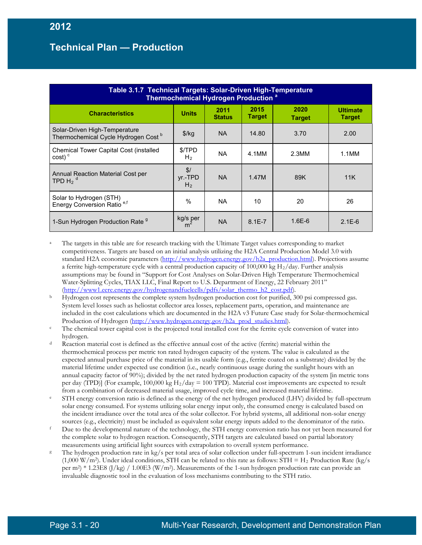| Table 3.1.7 Technical Targets: Solar-Driven High-Temperature<br>Thermochemical Hydrogen Production <sup>a</sup> |                                  |                       |                       |                       |                                  |  |
|-----------------------------------------------------------------------------------------------------------------|----------------------------------|-----------------------|-----------------------|-----------------------|----------------------------------|--|
| <b>Characteristics</b>                                                                                          | <b>Units</b>                     | 2011<br><b>Status</b> | 2015<br><b>Target</b> | 2020<br><b>Target</b> | <b>Ultimate</b><br><b>Target</b> |  |
| Solar-Driven High-Temperature<br>Thermochemical Cycle Hydrogen Cost <sup>b</sup>                                | \$/kg                            | NA.                   | 14.80                 | 3.70                  | 2.00                             |  |
| Chemical Tower Capital Cost (installed<br>$cost)$ <sup>c</sup>                                                  | \$/TPD<br>H <sub>2</sub>         | NA.                   | 4.1MM                 | 2.3M <sub>M</sub>     | 1.1MM                            |  |
| Annual Reaction Material Cost per<br>TPD H <sub>2</sub> <sup>d</sup>                                            | \$/<br>vr.-TPD<br>H <sub>2</sub> | NA.                   | 1.47M                 | 89K                   | 11K                              |  |
| Solar to Hydrogen (STH)<br>Energy Conversion Ratio <sup>e,f</sup>                                               | $\%$                             | NA.                   | 10                    | 20                    | 26                               |  |
| 1-Sun Hydrogen Production Rate 9                                                                                | kg/s per                         | <b>NA</b>             | $8.1E - 7$            | $1.6E-6$              | $2.1E-6$                         |  |

- The targets in this table are for research tracking with the Ultimate Target values corresponding to market competitiveness. Targets are based on an initial analysis utilizing the H2A Central Production Model 3.0 with standard H2A economic parameters [\(http://www.hydrogen.energy.gov/h2a\\_production.html\)](http://www.hydrogen.energy.gov/h2a_production.html). Projections assume a ferrite high-temperature cycle with a central production capacity of 100,000 kg H2/day. Further analysis assumptions may be found in "Support for Cost Analyses on Solar-Driven High Temperature Thermochemical Water-Splitting Cycles, TIAX LLC, Final Report to U.S. Department of Energy, 22 February 2011" [\(http://www1.eere.energy.gov/hydrogenandfuelcells/pdfs/solar\\_thermo\\_h2\\_cost.pdf\)](http://www1.eere.energy.gov/hydrogenandfuelcells/pdfs/solar_thermo_h2_cost.pdf)*.*
- <sup>b</sup> Hydrogen cost represents the complete system hydrogen production cost for purified, 300 psi compressed gas. System level losses such as heliostat collector area losses, replacement parts, operation, and maintenance are included in the cost calculations which are documented in the H2A v3 Future Case study for Solar-thermochemical Production of Hydrogen [\(http://www.hydrogen.energy.gov/h2a\\_prod\\_studies.html\)](http://www.hydrogen.energy.gov/h2a_prod_studies.html).<br>The chemical tower capital cost is the projected total installed cost for the ferrite cycle conversion of water into
- hydrogen.
- Reaction material cost is defined as the effective annual cost of the active (ferrite) material within the thermochemical process per metric ton rated hydrogen capacity of the system. The value is calculated as the expected annual purchase price of the material in its usable form (e.g., ferrite coated on a substrate) divided by the material lifetime under expected use condition (i.e., nearly continuous usage during the sunlight hours with an annual capacity factor of 90%); divided by the net rated hydrogen production capacity of the system [in metric tons per day (TPD)] (For example, 100,000 kg  $H_2$ /day = 100 TPD). Material cost improvements are expected to result from a combination of decreased material usage, improved cycle time, and increased material lifetime.
- <sup>e</sup> STH energy conversion ratio is defined as the energy of the net hydrogen produced (LHV) divided by full-spectrum solar energy consumed. For systems utilizing solar energy input only, the consumed energy is calculated based on the incident irradiance over the total area of the solar collector. For hybrid systems, all additional non-solar energy
- sources (e.g., electricity) must be included as equivalent solar energy inputs added to the denominator of the ratio.<br>
Due to the developmental nature of the technology, the STH energy conversion ratio has not yet been mea the complete solar to hydrogen reaction. Consequently, STH targets are calculated based on partial laboratory measurements using artificial light sources with extrapolation to overall system performance.
- The hydrogen production rate in kg/s per total area of solar collection under full-spectrum 1-sun incident irradiance  $(1,000 \text{ W/m}^2)$ . Under ideal conditions, STH can be related to this rate as follows: STH = H<sub>2</sub> Production Rate (kg/s) per m<sup>2</sup>) \* 1.23E8 (J/kg) / 1.00E3 (W/m<sup>2</sup>). Measurements of the 1-sun hydrogen production rate can provide an invaluable diagnostic tool in the evaluation of loss mechanisms contributing to the STH ratio.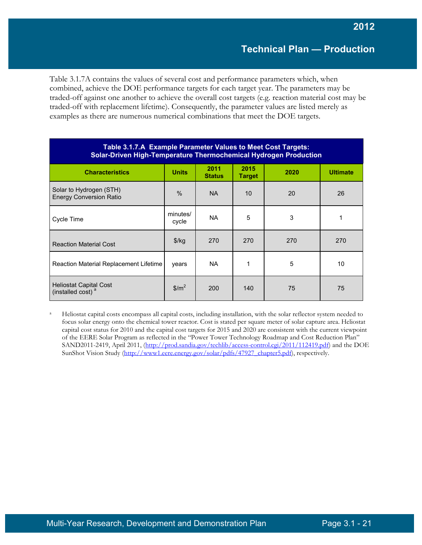Table 3.1.7A contains the values of several cost and performance parameters which, when combined, achieve the DOE performance targets for each target year. The parameters may be traded-off against one another to achieve the overall cost targets (e.g. reaction material cost may be traded-off with replacement lifetime). Consequently, the parameter values are listed merely as examples as there are numerous numerical combinations that meet the DOE targets.

| Table 3.1.7.A Example Parameter Values to Meet Cost Targets:<br>Solar-Driven High-Temperature Thermochemical Hydrogen Production |                                 |                       |                       |      |                 |  |
|----------------------------------------------------------------------------------------------------------------------------------|---------------------------------|-----------------------|-----------------------|------|-----------------|--|
| <b>Characteristics</b>                                                                                                           | <b>Units</b>                    | 2011<br><b>Status</b> | 2015<br><b>Target</b> | 2020 | <b>Ultimate</b> |  |
| Solar to Hydrogen (STH)<br><b>Energy Conversion Ratio</b>                                                                        | $\frac{0}{0}$                   | <b>NA</b>             | 10 <sup>1</sup>       | 20   | 26              |  |
| Cycle Time                                                                                                                       | minutes/<br>cycle               | <b>NA</b>             | 5                     | 3    |                 |  |
| <b>Reaction Material Cost</b>                                                                                                    | $\frac{f}{g}$                   | 270                   | 270                   | 270  | 270             |  |
| Reaction Material Replacement Lifetime                                                                                           | years                           | <b>NA</b>             | 1                     | 5    | 10              |  |
| <b>Heliostat Capital Cost</b><br>(installed cost) <sup>a</sup>                                                                   | $\frac{\text{m}^2}{\text{m}^2}$ | 200                   | 140                   | 75   | 75              |  |

<sup>a</sup> Heliostat capital costs encompass all capital costs, including installation, with the solar reflector system needed to focus solar energy onto the chemical tower reactor. Cost is stated per square meter of solar capture area. Heliostat capital cost status for 2010 and the capital cost targets for 2015 and 2020 are consistent with the current viewpoint of the EERE Solar Program as reflected in the "Power Tower Technology Roadmap and Cost Reduction Plan" SAND2011-2419, April 2011, [\(http://prod.sandia.gov/techlib/access-control.cgi/2011/112419.pdf\)](http://prod.sandia.gov/techlib/access-control.cgi/2011/112419.pdf) and the DOE SunShot Vision Study [\(http://www1.eere.energy.gov/solar/pdfs/47927\\_chapter5.pdf\)](http://www1.eere.energy.gov/solar/pdfs/47927_chapter5.pdf), respectively.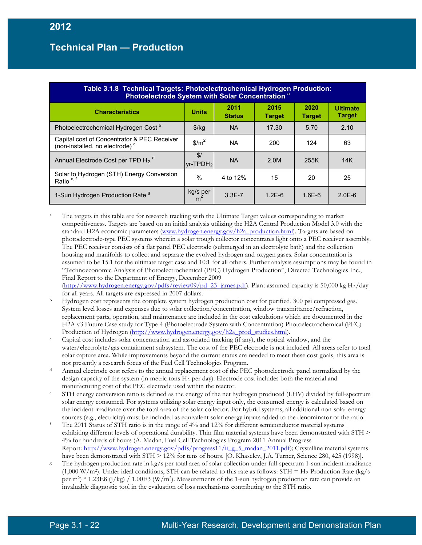| Table 3.1.8 Technical Targets: Photoelectrochemical Hydrogen Production:<br>Photoelectrode System with Solar Concentration <sup>a</sup> |                                 |                       |                       |                       |                                  |  |
|-----------------------------------------------------------------------------------------------------------------------------------------|---------------------------------|-----------------------|-----------------------|-----------------------|----------------------------------|--|
| <b>Characteristics</b>                                                                                                                  | <b>Units</b>                    | 2011<br><b>Status</b> | 2015<br><b>Target</b> | 2020<br><b>Target</b> | <b>Ultimate</b><br><b>Target</b> |  |
| Photoelectrochemical Hydrogen Cost <sup>b</sup>                                                                                         | $$$ /kg                         | NA.                   | 17.30                 | 5.70                  | 2.10                             |  |
| Capital cost of Concentrator & PEC Receiver<br>(non-installed, no electrode) <sup>c</sup>                                               | $\frac{\text{m}^2}{\text{m}^2}$ | NA.                   | 200                   | 124                   | 63                               |  |
| Annual Electrode Cost per TPD H <sub>2</sub> <sup>d</sup>                                                                               | \$/<br>lvr-TPDH <sub>2</sub>    | <b>NA</b>             | 2.0M                  | 255K                  | 14K                              |  |
| Solar to Hydrogen (STH) Energy Conversion<br>Ratio <sup>e, f</sup>                                                                      | $\frac{0}{0}$                   | 4 to 12%              | 15                    | 20                    | 25                               |  |
| 1-Sun Hydrogen Production Rate 9                                                                                                        | $\frac{kg}{m^2}$                | $3.3E - 7$            | $1.2E-6$              | $1.6E-6$              | $2.0E-6$                         |  |

- <sup>a</sup> The targets in this table are for research tracking with the Ultimate Target values corresponding to market competitiveness. Targets are based on an initial analysis utilizing the H2A Central Production Model 3.0 with the standard H2A economic parameters [\(www.hydrogen.energy.gov/h2a\\_production.html\)](http://www.hydrogen.energy.gov/h2a_production.html). Targets are based on photoelectrode-type PEC systems wherein a solar trough collector concentrates light onto a PEC receiver assembly. The PEC receiver consists of a flat panel PEC electrode (submerged in an electrolyte bath) and the collection housing and manifolds to collect and separate the evolved hydrogen and oxygen gases. Solar concentration is assumed to be 15:1 for the ultimate target case and 10:1 for all others. Further analysis assumptions may be found in "Technoeconomic Analysis of Photoelectrochemical (PEC) Hydrogen Production", Directed Technologies Inc., Final Report to the Department of Energy, December 2009 [\(http://www.hydrogen.energy.gov/pdfs/review09/pd\\_23\\_james.pdf\)](http://www.hydrogen.energy.gov/pdfs/review09/pd_23_james.pdf). Plant assumed capacity is 50,000 kg H2/day
- for all years. All targets are expressed in 2007 dollars.<br>Hydrogen cost represents the complete system hydrogen production cost for purified, 300 psi compressed gas. System level losses and expenses due to solar collection/concentration, window transmittance/refraction, replacement parts, operation, and maintenance are included in the cost calculations which are documented in the H2A v3 Future Case study for Type 4 (Photoelectrode System with Concentration) Photoelectrochemical (PEC) Production of Hydrogen [\(http://www.hydrogen.energy.gov/h2a\\_prod\\_studies.html\)](http://www.hydrogen.energy.gov/h2a_prod_studies.html).
- c Capital cost includes solar concentration and associated tracking (if any), the optical window, and the water/electrolyte/gas containment subsystem. The cost of the PEC electrode is not included. All areas refer to total solar capture area. While improvements beyond the current status are needed to meet these cost goals, this area is not presently a research focus of the Fuel Cell Technologies Program.
- <sup>d</sup> Annual electrode cost refers to the annual replacement cost of the PEC photoelectrode panel normalized by the design capacity of the system (in metric tons H2 per day). Electrode cost includes both the material and manufacturing cost of the PEC electrode used within the reactor.
- STH energy conversion ratio is defined as the energy of the net hydrogen produced (LHV) divided by full-spectrum solar energy consumed. For systems utilizing solar energy input only, the consumed energy is calculated based on the incident irradiance over the total area of the solar collector. For hybrid systems, all additional non-solar energy sources (e.g., electricity) must be included as equivalent solar energy inputs added to the denominator of the ratio.<br>
<sup>f</sup> The 2011 Status of STH ratio is in the range of 4% and 12% for different semiconductor material sys
- exhibiting different levels of operational durability. Thin film material systems have been demonstrated with STH > 4% for hundreds of hours (A. Madan, Fuel Cell Technologies Program 2011 Annual Progress Report: http://www.hydrogen.energy.gov/pdfs/progress11/ii g\_5\_madan\_2011.pdf); Crystalline material systems have been demonstrated with STH  $> 12\%$  for tens of hours. [O. Khaselev, J.A. Turner, Science 280, 425 (1998)].
- The hydrogen production rate in kg/s per total area of solar collection under full-spectrum 1-sun incident irradiance  $(1,000 \text{ W/m}^2)$ . Under ideal conditions, STH can be related to this rate as follows: STH = H<sub>2</sub> Production Rate (kg/s) per m<sup>2</sup>) \* 1.23E8 (J/kg) / 1.00E3 (W/m<sup>2</sup>). Measurements of the 1-sun hydrogen production rate can provide an invaluable diagnostic tool in the evaluation of loss mechanisms contributing to the STH ratio.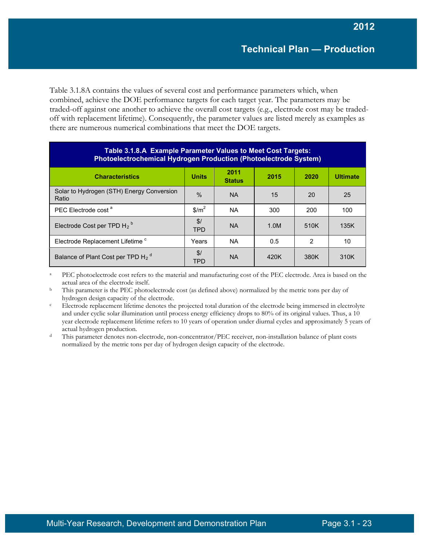Table 3.1.8A contains the values of several cost and performance parameters which, when combined, achieve the DOE performance targets for each target year. The parameters may be traded-off against one another to achieve the overall cost targets (e.g., electrode cost may be tradedoff with replacement lifetime). Consequently, the parameter values are listed merely as examples as there are numerous numerical combinations that meet the DOE targets.

| Table 3.1.8.A Example Parameter Values to Meet Cost Targets:<br><b>Photoelectrochemical Hydrogen Production (Photoelectrode System)</b> |                   |                       |      |      |                 |  |
|-----------------------------------------------------------------------------------------------------------------------------------------|-------------------|-----------------------|------|------|-----------------|--|
| <b>Characteristics</b>                                                                                                                  | <b>Units</b>      | 2011<br><b>Status</b> | 2015 | 2020 | <b>Ultimate</b> |  |
| Solar to Hydrogen (STH) Energy Conversion<br>Ratio                                                                                      | $\frac{0}{0}$     | <b>NA</b>             | 15   | 20   | 25              |  |
| PEC Electrode cost <sup>a</sup>                                                                                                         | \$/m <sup>2</sup> | <b>NA</b>             | 300  | 200  | 100             |  |
| Electrode Cost per TPD $H_2^b$                                                                                                          | \$/<br><b>TPD</b> | <b>NA</b>             | 1.0M | 510K | 135K            |  |
| Electrode Replacement Lifetime <sup>c</sup>                                                                                             | Years             | <b>NA</b>             | 0.5  | 2    | 10              |  |
| Balance of Plant Cost per TPD H <sub>2</sub> <sup>d</sup>                                                                               | \$/<br><b>TPD</b> | <b>NA</b>             | 420K | 380K | 310K            |  |

PEC photoelectrode cost refers to the material and manufacturing cost of the PEC electrode. Area is based on the actual area of the electrode itself.

<sup>b</sup> This parameter is the PEC photoelectrode cost (as defined above) normalized by the metric tons per day of

hydrogen design capacity of the electrode.<br>Electrode replacement lifetime denotes the projected total duration of the electrode being immersed in electrolyte and under cyclic solar illumination until process energy efficiency drops to 80% of its original values. Thus, a 10 year electrode replacement lifetime refers to 10 years of operation under diurnal cycles and approximately 5 years of actual hydrogen production.

<sup>d</sup> This parameter denotes non-electrode, non-concentrator/PEC receiver, non-installation balance of plant costs normalized by the metric tons per day of hydrogen design capacity of the electrode.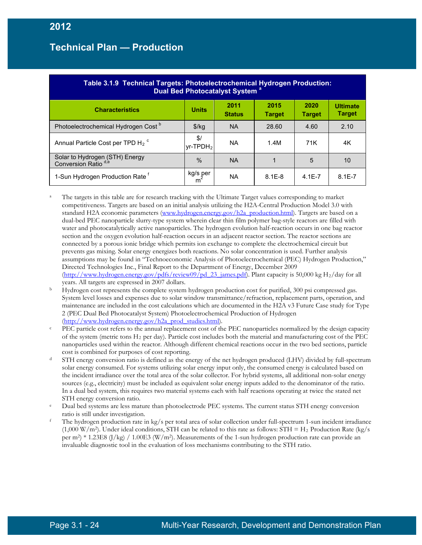| <b>Table 3.1.9 Technical Targets: Photoelectrochemical Hydrogen Production:</b><br>Dual Bed Photocatalyst System <sup>a</sup> |                              |                       |                       |                       |                                  |  |
|-------------------------------------------------------------------------------------------------------------------------------|------------------------------|-----------------------|-----------------------|-----------------------|----------------------------------|--|
| <b>Characteristics</b>                                                                                                        | <b>Units</b>                 | 2011<br><b>Status</b> | 2015<br><b>Target</b> | 2020<br><b>Target</b> | <b>Ultimate</b><br><b>Target</b> |  |
| Photoelectrochemical Hydrogen Cost <sup>b</sup>                                                                               | \$/kg                        | <b>NA</b>             | 28.60                 | 4.60                  | 2.10                             |  |
| Annual Particle Cost per TPD H <sub>2</sub> <sup>c</sup>                                                                      | \$/<br>lvr-TPDH <sub>2</sub> | <b>NA</b>             | 1.4M                  | 71K                   | 4K                               |  |
| Solar to Hydrogen (STH) Energy<br>Conversion Ratio <sup>d,e</sup>                                                             | $\frac{0}{0}$                | <b>NA</b>             |                       | 5                     | 10                               |  |
| 1-Sun Hydrogen Production Rate <sup>f</sup>                                                                                   | kg/s per                     | <b>NA</b>             | $8.1E - 8$            | $4.1E - 7$            | $8.1E - 7$                       |  |

<sup>a</sup> The targets in this table are for research tracking with the Ultimate Target values corresponding to market competitiveness. Targets are based on an initial analysis utilizing the H2A-Central Production Model 3.0 with standard H2A economic parameters [\(www.hydrogen.energy.gov/h2a\\_production.html\)](http://www.hydrogen.energy.gov/h2a_production.html). Targets are based on a dual-bed PEC nanoparticle slurry-type system wherein clear thin film polymer bag-style reactors are filled with water and photocatalytically active nanoparticles. The hydrogen evolution half-reaction occurs in one bag reactor section and the oxygen evolution half-reaction occurs in an adjacent reactor section. The reactor sections are connected by a porous ionic bridge which permits ion exchange to complete the electrochemical circuit but prevents gas mixing. Solar energy energizes both reactions. No solar concentration is used. Further analysis assumptions may be found in "Technoeconomic Analysis of Photoelectrochemical (PEC) Hydrogen Production," Directed Technologies Inc., Final Report to the Department of Energy, December 2009 [\(http://www.hydrogen.energy.gov/pdfs/review09/pd\\_23\\_james.pdf\)](http://www.hydrogen.energy.gov/pdfs/review09/pd_23_james.pdf). Plant capacity is 50,000 kg H<sub>2</sub>/day for all years. All targets are expressed in 2007 dollars.<br>Hydrogen cost represents the complete system hydrogen production cost for purified, 300 psi compressed gas.

- System level losses and expenses due to solar window transmittance/refraction, replacement parts, operation, and maintenance are included in the cost calculations which are documented in the H2A v3 Future Case study for Type 2 (PEC Dual Bed Photocatalyst System) Photoelectrochemical Production of Hydrogen [\(http://www.hydrogen.energy.gov/h2a\\_prod\\_studies.html\)](http://www.hydrogen.energy.gov/h2a_prod_studies.html).
- PEC particle cost refers to the annual replacement cost of the PEC nanoparticles normalized by the design capacity of the system (metric tons  $H_2$  per day). Particle cost includes both the material and manufacturing cost of the PEC nanoparticles used within the reactor. Although different chemical reactions occur in the two bed sections, particle
- cost is combined for purposes of cost reporting.<br>STH energy conversion ratio is defined as the energy of the net hydrogen produced (LHV) divided by full-spectrum solar energy consumed. For systems utilizing solar energy input only, the consumed energy is calculated based on the incident irradiance over the total area of the solar collector. For hybrid systems, all additional non-solar energy sources (e.g., electricity) must be included as equivalent solar energy inputs added to the denominator of the ratio. In a dual bed system, this requires two material systems each with half reactions operating at twice the stated net STH energy conversion ratio.
- e Dual bed systems are less mature than photoelectrode PEC systems. The current status STH energy conversion ratio is still under investigation.
- <sup>f</sup> The hydrogen production rate in kg/s per total area of solar collection under full-spectrum 1-sun incident irradiance (1,000 W/m<sup>2</sup>). Under ideal conditions, STH can be related to this rate as follows: STH = H<sub>2</sub> Production Rate (kg/s) per m<sup>2</sup>) \* 1.23E8 (J/kg) / 1.00E3 (W/m<sup>2</sup>). Measurements of the 1-sun hydrogen production rate can provide an invaluable diagnostic tool in the evaluation of loss mechanisms contributing to the STH ratio.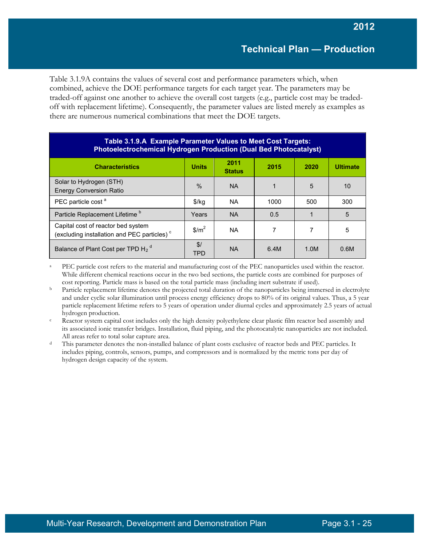Table 3.1.9A contains the values of several cost and performance parameters which, when combined, achieve the DOE performance targets for each target year. The parameters may be traded-off against one another to achieve the overall cost targets (e.g., particle cost may be tradedoff with replacement lifetime). Consequently, the parameter values are listed merely as examples as there are numerous numerical combinations that meet the DOE targets.

| Table 3.1.9.A Example Parameter Values to Meet Cost Targets:<br><b>Photoelectrochemical Hydrogen Production (Dual Bed Photocatalyst)</b> |                   |                       |      |      |                 |
|------------------------------------------------------------------------------------------------------------------------------------------|-------------------|-----------------------|------|------|-----------------|
| <b>Characteristics</b>                                                                                                                   | <b>Units</b>      | 2011<br><b>Status</b> | 2015 | 2020 | <b>Ultimate</b> |
| Solar to Hydrogen (STH)<br><b>Energy Conversion Ratio</b>                                                                                | $\%$              | <b>NA</b>             |      | 5    | 10              |
| PEC particle cost <sup>a</sup>                                                                                                           | $\frac{1}{2}$     | <b>NA</b>             | 1000 | 500  | 300             |
| Particle Replacement Lifetime <sup>b</sup>                                                                                               | Years             | <b>NA</b>             | 0.5  |      | 5               |
| Capital cost of reactor bed system<br>(excluding installation and PEC particles) <sup>c</sup>                                            | \$/m <sup>2</sup> | <b>NA</b>             |      |      | 5               |
| Balance of Plant Cost per TPD H <sub>2</sub> <sup>d</sup>                                                                                | \$/<br><b>TPD</b> | <b>NA</b>             | 6.4M | 1.0M | 0.6M            |

PEC particle cost refers to the material and manufacturing cost of the PEC nanoparticles used within the reactor. While different chemical reactions occur in the two bed sections, the particle costs are combined for purposes of cost reporting. Particle mass is based on the total particle mass (including inert substrate if used).

<sup>b</sup> Particle replacement lifetime denotes the projected total duration of the nanoparticles being immersed in electrolyte and under cyclic solar illumination until process energy efficiency drops to 80% of its original values. Thus, a 5 year particle replacement lifetime refers to 5 years of operation under diurnal cycles and approximately 2.5 years of actual hydrogen production.

<sup>c</sup> Reactor system capital cost includes only the high density polyethylene clear plastic film reactor bed assembly and its associated ionic transfer bridges. Installation, fluid piping, and the photocatalytic nanoparticles are not included. All areas refer to total solar capture area.

This parameter denotes the non-installed balance of plant costs exclusive of reactor beds and PEC particles. It includes piping, controls, sensors, pumps, and compressors and is normalized by the metric tons per day of hydrogen design capacity of the system.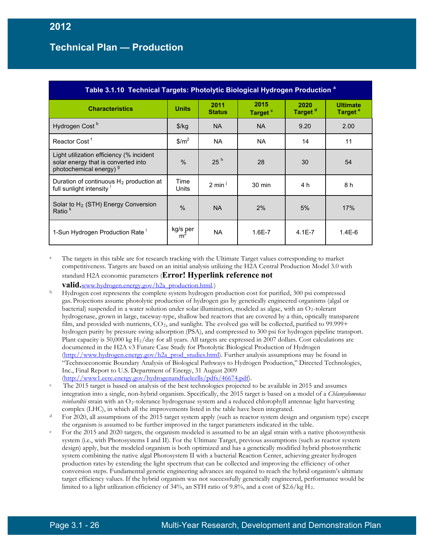| Table 3.1.10 Technical Targets: Photolytic Biological Hydrogen Production <sup>a</sup>                                |                  |                       |                             |                             |                                        |  |
|-----------------------------------------------------------------------------------------------------------------------|------------------|-----------------------|-----------------------------|-----------------------------|----------------------------------------|--|
| <b>Characteristics</b>                                                                                                | <b>Units</b>     | 2011<br><b>Status</b> | 2015<br>Target <sup>c</sup> | 2020<br>Target <sup>d</sup> | <b>Ultimate</b><br>Target <sup>e</sup> |  |
| Hydrogen Cost <sup>b</sup>                                                                                            | $\frac{f}{g}$    | <b>NA</b>             | <b>NA</b>                   | 9.20                        | 2.00                                   |  |
| Reactor Cost <sup>f</sup>                                                                                             | $$/m^2$          | <b>NA</b>             | <b>NA</b>                   | 14                          | 11                                     |  |
| Light utilization efficiency (% incident<br>solar energy that is converted into<br>photochemical energy) <sup>9</sup> | $\frac{0}{0}$    | 25 <sup>h</sup>       | 28                          | 30                          | 54                                     |  |
| Duration of continuous $H_2$ production at<br>full sunlight intensity                                                 | Time<br>Units    | $2 \text{ min}^1$     | $30 \text{ min}$            | 4 h                         | 8 h                                    |  |
| Solar to $H_2$ (STH) Energy Conversion<br>Ratio <sup>k</sup>                                                          | $\frac{0}{0}$    | <b>NA</b>             | 2%                          | 5%                          | 17%                                    |  |
| 1-Sun Hydrogen Production Rate                                                                                        | $kg/s$ per<br>m. | NA.                   | $1.6E - 7$                  | $4.1E - 7$                  | $1.4E-6$                               |  |

The targets in this table are for research tracking with the Ultimate Target values corresponding to market competitiveness. Targets are based on an initial analysis utilizing the H2A Central Production Model 3.0 with standard H2A economic parameters (**Error! Hyperlink reference not** 

**valid.**[www.hydrogen.energy.gov/h2a\\_production.html.](http://www.hydrogen.energy.gov/h2a_production.html))

- <sup>b</sup> Hydrogen cost represents the complete system hydrogen production cost for purified, 300 psi compressed gas. Projections assume photolytic production of hydrogen gas by genetically engineered organisms (algal or bacterial) suspended in a water solution under solar illumination, modeled as algae, with an O2-tolerant hydrogenase, grown in large, raceway-type, shallow bed reactors that are covered by a thin, optically transparent film, and provided with nutrients, CO2, and sunlight. The evolved gas will be collected, purified to 99.999+ hydrogen purity by pressure swing adsorption (PSA), and compressed to 300 psi for hydrogen pipeline transport. Plant capacity is 50,000 kg H<sub>2</sub>/day for all years. All targets are expressed in 2007 dollars. Cost calculations are documented in the H2A v3 Future Case Study for Photolytic Biological Production of Hydrogen [\(http://www.hydrogen.energy.gov/h2a\\_prod\\_studies.html\)](http://www.hydrogen.energy.gov/h2a_prod_studies.html). Further analysis assumptions may be found in "Technoeconomic Boundary Analysis of Biological Pathways to Hydrogen Production," Directed Technologies, Inc., Final Report to U.S. Department of Energy, 31 August 2009 [\(http://www1.eere.energy.gov/hydrogenandfuelcells/pdfs/46674.pdf\)](http://www1.eere.energy.gov/hydrogenandfuelcells/pdfs/46674.pdf).
- The 2015 target is based on analysis of the best technologies projected to be available in 2015 and assumes integration into a single, non-hybrid organism. Specifically, the 2015 target is based on a model of a *Chlamydomonas reinhardtii* strain with an O2-tolerance hydrogenase system and a reduced chlorophyll antennae light harvesting
- complex (LHC), in which all the improvements listed in the table have been integrated.<br>For 2020, all assumptions of the 2015 target system apply (such as reactor system design and organism type) except
- the organism is assumed to be further improved in the target parameters indicated in the table.<br>For the 2015 and 2020 targets, the organism modeled is assumed to be an algal strain with a native photosynthesis system (i.e., with Photosystems I and II). For the Ultimate Target, previous assumptions (such as reactor system design) apply, but the modeled organism is both optimized and has a genetically modified hybrid photosynthetic system combining the native algal Photosystem II with a bacterial Reaction Center, achieving greater hydrogen production rates by extending the light spectrum that can be collected and improving the efficiency of other conversion steps. Fundamental genetic engineering advances are required to reach the hybrid organism's ultimate target efficiency values. If the hybrid organism was not successfully genetically engineered, performance would be limited to a light utilization efficiency of 34%, an STH ratio of 9.8%, and a cost of  $2.6/\text{kg H}_2$ .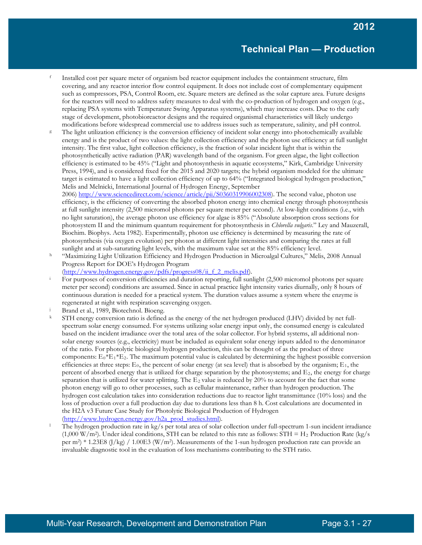- <sup>f</sup> Installed cost per square meter of organism bed reactor equipment includes the containment structure, film covering, and any reactor interior flow control equipment. It does not include cost of complementary equipment such as compressors, PSA, Control Room, etc. Square meters are defined as the solar capture area. Future designs for the reactors will need to address safety measures to deal with the co-production of hydrogen and oxygen (e.g., replacing PSA systems with Temperature Swing Apparatus systems), which may increase costs. Due to the early stage of development, photobioreactor designs and the required organismal characteristics will likely undergo modifications before widespread commercial use to address issues such as temperature, salinity, and pH control.
- The light utilization efficiency is the conversion efficiency of incident solar energy into photochemically available energy and is the product of two values: the light collection efficiency and the photon use efficiency at full sunlight intensity. The first value, light collection efficiency, is the fraction of solar incident light that is within the photosynthetically active radiation (PAR) wavelength band of the organism. For green algae, the light collection efficiency is estimated to be 45% ("Light and photosynthesis in aquatic ecosystems," Kirk, Cambridge University Press, 1994), and is considered fixed for the 2015 and 2020 targets; the hybrid organism modeled for the ultimate target is estimated to have a light collection efficiency of up to 64% ("Integrated biological hydrogen production," Melis and Melnicki, International Journal of Hydrogen Energy, September

2006) [http://www.sciencedirect.com/science/article/pii/S0360319906002308\)](http://www.sciencedirect.com/science/article/pii/S0360319906002308). The second value, photon use efficiency, is the efficiency of converting the absorbed photon energy into chemical energy through photosynthesis at full sunlight intensity (2,500 micromol photons per square meter per second). At low-light conditions (i.e., with no light saturation), the average photon use efficiency for algae is 85% ("Absolute absorption cross sections for photosystem II and the minimum quantum requirement for photosynthesis in *Chlorella vulgaris*." Ley and Mauzerall, Biochim. Biophys. Acta 1982). Experimentally, photon use efficiency is determined by measuring the rate of photosynthesis (via oxygen evolution) per photon at different light intensities and comparing the rates at full sunlight and at sub-saturating light levels, with the maximum value set at the 85% efficiency level.

<sup>h</sup> "Maximizing Light Utilization Efficiency and Hydrogen Production in Microalgal Cultures," Melis, 2008 Annual Progress Report for DOE's Hydrogen Program

(http://www.hydrogen.energy.gov/pdfs/progress08/ii f 2 melis.pdf).

- For purposes of conversion efficiencies and duration reporting, full sunlight (2,500 micromol photons per square meter per second) conditions are assumed. Since in actual practice light intensity varies diurnally, only 8 hours of continuous duration is needed for a practical system. The duration values assume a system where the enzyme is regenerated at night with respiration scavenging oxygen.
- 
- Brand et al., 1989, Biotechnol. Bioeng.<br>STH energy conversion ratio is defined as the energy of the net hydrogen produced (LHV) divided by net fullspectrum solar energy consumed. For systems utilizing solar energy input only, the consumed energy is calculated based on the incident irradiance over the total area of the solar collector. For hybrid systems, all additional nonsolar energy sources (e.g., electricity) must be included as equivalent solar energy inputs added to the denominator of the ratio. For photolytic biological hydrogen production, this can be thought of as the product of three components:  $E_0*E_1*E_2$ . The maximum potential value is calculated by determining the highest possible conversion efficiencies at three steps:  $E_0$ , the percent of solar energy (at sea level) that is absorbed by the organism;  $E_1$ , the percent of absorbed energy that is utilized for charge separation by the photosystems; and  $E_2$ , the energy for charge separation that is utilized for water splitting. The  $E_2$  value is reduced by 20% to account for the fact that some photon energy will go to other processes, such as cellular maintenance, rather than hydrogen production. The hydrogen cost calculation takes into consideration reductions due to reactor light transmittance (10% loss) and the loss of production over a full production day due to durations less than 8 h. Cost calculations are documented in the H2A v3 Future Case Study for Photolytic Biological Production of Hydrogen (http://www.hydrogen.energy.gov/h2a\_prod\_studies.html).
- The hydrogen production rate in kg/s per total area of solar collection under full-spectrum 1-sun incident irradiance  $(1,000 \text{ W/m}^2)$ . Under ideal conditions, STH can be related to this rate as follows: STH = H<sub>2</sub> Production Rate (kg/s) per m<sup>2</sup>) \* 1.23E8 (J/kg) / 1.00E3 (W/m<sup>2</sup>). Measurements of the 1-sun hydrogen production rate can provide an invaluable diagnostic tool in the evaluation of loss mechanisms contributing to the STH ratio.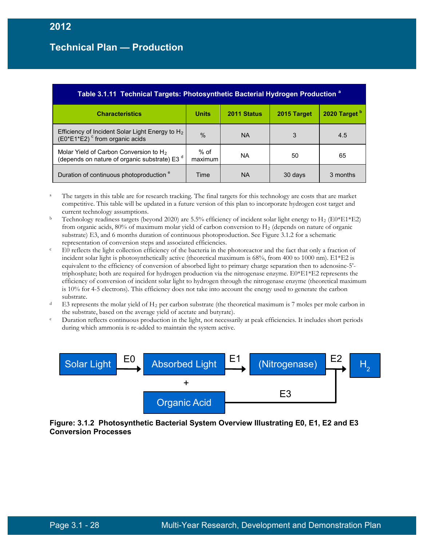| Table 3.1.11 Technical Targets: Photosynthetic Bacterial Hydrogen Production <sup>a</sup>                      |                 |             |             |                          |  |
|----------------------------------------------------------------------------------------------------------------|-----------------|-------------|-------------|--------------------------|--|
| <b>Characteristics</b>                                                                                         | <b>Units</b>    | 2011 Status | 2015 Target | 2020 Target <sup>b</sup> |  |
| Efficiency of Incident Solar Light Energy to H <sub>2</sub><br>$(E0*E1*E2)$ <sup>c</sup> from organic acids    | $\frac{0}{0}$   | NA          | 3           | 4.5                      |  |
| Molar Yield of Carbon Conversion to H <sub>2</sub><br>(depends on nature of organic substrate) E3 <sup>d</sup> | % of<br>maximum | ΝA          | 50          | 65                       |  |
| Duration of continuous photoproduction <sup>e</sup>                                                            | Time            | NA          | 30 days     | 3 months                 |  |

<sup>a</sup> The targets in this table are for research tracking. The final targets for this technology are costs that are market competitive. This table will be updated in a future version of this plan to incorporate hydrogen cost target and current technology assumptions.

- <sup>b</sup> Technology readiness targets (beyond 2020) are 5.5% efficiency of incident solar light energy to H<sub>2</sub> (E0\*E1\*E2) from organic acids, 80% of maximum molar yield of carbon conversion to H<sup>2</sup> (depends on nature of organic substrate) E3, and 6 months duration of continuous photoproduction. See Figure 3.1.2 for a schematic representation of conversion steps and associated efficiencies.
- <sup>c</sup> E0 reflects the light collection efficiency of the bacteria in the photoreactor and the fact that only a fraction of incident solar light is photosynthetically active (theoretical maximum is 68%, from 400 to 1000 nm). E1\*E2 is equivalent to the efficiency of conversion of absorbed light to primary charge separation then to adenosine-5' triphosphate; both are required for hydrogen production via the nitrogenase enzyme. E0\*E1\*E2 represents the efficiency of conversion of incident solar light to hydrogen through the nitrogenase enzyme (theoretical maximum is 10% for 4-5 electrons). This efficiency does not take into account the energy used to generate the carbon substrate.
- $d = E3$  represents the molar yield of H<sub>2</sub> per carbon substrate (the theoretical maximum is 7 moles per mole carbon in
- the substrate, based on the average yield of acetate and butyrate).<br>Duration reflects continuous production in the light, not necessarily at peak efficiencies. It includes short periods during which ammonia is re-added to maintain the system active.



**Figure: 3.1.2 Photosynthetic Bacterial System Overview Illustrating E0, E1, E2 and E3 Conversion Processes**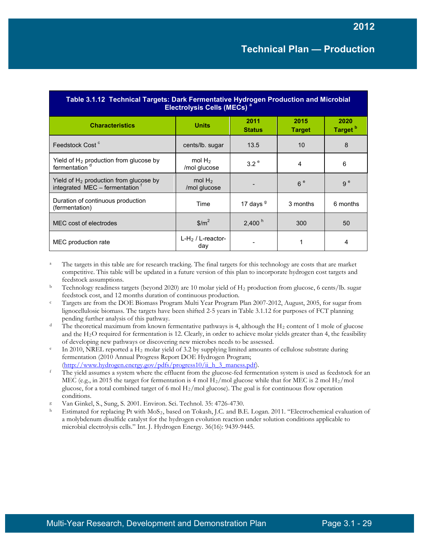| Table 3.1.12 Technical Targets: Dark Fermentative Hydrogen Production and Microbial<br>Electrolysis Cells (MECs) <sup>a</sup> |                            |                       |                       |                             |  |
|-------------------------------------------------------------------------------------------------------------------------------|----------------------------|-----------------------|-----------------------|-----------------------------|--|
| <b>Characteristics</b>                                                                                                        | <b>Units</b>               | 2011<br><b>Status</b> | 2015<br><b>Target</b> | 2020<br>Target <sup>b</sup> |  |
| Feedstock Cost <sup>c</sup>                                                                                                   | cents/lb. sugar            | 13.5                  | 10                    | 8                           |  |
| Yield of $H_2$ production from glucose by<br>fermentation <sup>d</sup>                                                        | mol $H_2$<br>/mol glucose  | 3.2 <sup>e</sup>      | 4                     | 6                           |  |
| Yield of $H_2$ production from glucose by<br>integrated MEC - fermentation                                                    | mol $H_2$<br>/mol glucose  |                       | 6e                    | 9 <sup>e</sup>              |  |
| Duration of continuous production<br>(fermentation)                                                                           | Time                       | 17 days $9$           | 3 months              | 6 months                    |  |
| MEC cost of electrodes                                                                                                        | $\frac{m^2}{2}$            | 2,400 <sup>h</sup>    | 300                   | 50                          |  |
| MEC production rate                                                                                                           | $L-H2 / L-reactor-$<br>day |                       |                       | 4                           |  |

- <sup>a</sup> The targets in this table are for research tracking. The final targets for this technology are costs that are market competitive. This table will be updated in a future version of this plan to incorporate hydrogen cost targets and feedstock assumptions.
- <sup>b</sup> Technology readiness targets (beyond 2020) are 10 molar yield of H<sub>2</sub> production from glucose, 6 cents/lb. sugar feedstock cost, and 12 months duration of continuous production. c Targets are from the DOE Biomass Program Multi Year Program Plan 2007-2012, August, 2005, for sugar from
- lignocellulosic biomass. The targets have been shifted 2-5 years in Table 3.1.12 for purposes of FCT planning pending further analysis of this pathway.
- <sup>d</sup> The theoretical maximum from known fermentative pathways is 4, although the H<sub>2</sub> content of 1 mole of glucose and the  $H_2O$  required for fermentation is 12. Clearly, in order to achieve molar yields greater than 4, the feasibility of developing new pathways or discovering new microbes needs to be assessed.
- $e$  In 2010, NREL reported a H<sub>2</sub> molar yield of 3.2 by supplying limited amounts of cellulose substrate during fermentation (2010 Annual Progress Report DOE Hydrogen Program;
- (http://www.hydrogen.energy.gov/pdfs/progress10/ii h\_3\_maness.pdf).<br>
<sup>f</sup> The yield assumes a system where the effluent from the glucose-fed fermentation system is used as feedstock for an MEC (e.g., in 2015 the target for fermentation is 4 mol  $H_2/mol$  glucose while that for MEC is 2 mol  $H_2/mol$ glucose, for a total combined target of 6 mol  $H_2/mol$  glucose). The goal is for continuous flow operation conditions.
- <sup>g</sup> Van Ginkel, S., Sung, S. 2001. Environ. Sci. Technol. 35: 4726-4730.
- <sup>h</sup> Estimated for replacing Pt with MoS2, based on Tokash, J.C. and B.E. Logan. 2011. "Electrochemical evaluation of a molybdenum disulfide catalyst for the hydrogen evolution reaction under solution conditions applicable to microbial electrolysis cells." Int. J. Hydrogen Energy. 36(16): 9439-9445.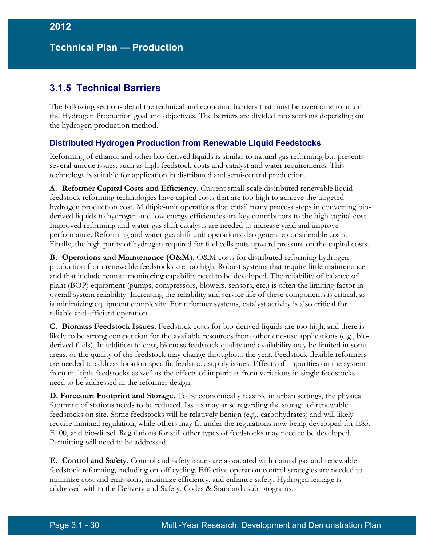## **3.1.5 Technical Barriers**

The following sections detail the technical and economic barriers that must be overcome to attain the Hydrogen Production goal and objectives. The barriers are divided into sections depending on the hydrogen production method.

### **Distributed Hydrogen Production from Renewable Liquid Feedstocks**

Reforming of ethanol and other bio-derived liquids is similar to natural gas reforming but presents several unique issues, such as high feedstock costs and catalyst and water requirements. This technology is suitable for application in distributed and semi-central production.

**A. Reformer Capital Costs and Efficiency.** Current small-scale distributed renewable liquid feedstock reforming technologies have capital costs that are too high to achieve the targeted hydrogen production cost. Multiple-unit operations that entail many process steps in converting bioderived liquids to hydrogen and low energy efficiencies are key contributors to the high capital cost. Improved reforming and water-gas shift catalysts are needed to increase yield and improve performance. Reforming and water-gas shift unit operations also generate considerable costs. Finally, the high purity of hydrogen required for fuel cells puts upward pressure on the capital costs.

**B. Operations and Maintenance (O&M).** O&M costs for distributed reforming hydrogen production from renewable feedstocks are too high. Robust systems that require little maintenance and that include remote monitoring capability need to be developed. The reliability of balance of plant (BOP) equipment (pumps, compressors, blowers, sensors, etc.) is often the limiting factor in overall system reliability. Increasing the reliability and service life of these components is critical, as is minimizing equipment complexity. For reformer systems, catalyst activity is also critical for reliable and efficient operation.

**C. Biomass Feedstock Issues.** Feedstock costs for bio-derived liquids are too high, and there is likely to be strong competition for the available resources from other end-use applications (e.g., bioderived fuels). In addition to cost, biomass feedstock quality and availability may be limited in some areas, or the quality of the feedstock may change throughout the year. Feedstock-flexible reformers are needed to address location-specific feedstock supply issues. Effects of impurities on the system from multiple feedstocks as well as the effects of impurities from variations in single feedstocks need to be addressed in the reformer design.

**D. Forecourt Footprint and Storage.** To be economically feasible in urban settings, the physical footprint of stations needs to be reduced. Issues may arise regarding the storage of renewable feedstocks on site. Some feedstocks will be relatively benign (e.g., carbohydrates) and will likely require minimal regulation, while others may fit under the regulations now being developed for E85, E100, and bio-diesel. Regulations for still other types of feedstocks may need to be developed. Permitting will need to be addressed.

**E. Control and Safety.** Control and safety issues are associated with natural gas and renewable feedstock reforming, including on-off cycling. Effective operation control strategies are needed to minimize cost and emissions, maximize efficiency, and enhance safety. Hydrogen leakage is addressed within the Delivery and Safety, Codes & Standards sub-programs.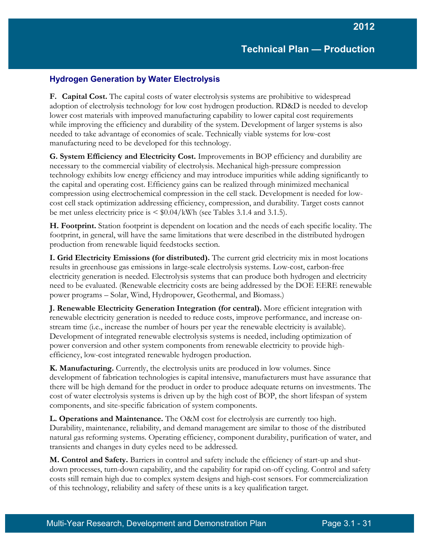### **Hydrogen Generation by Water Electrolysis**

**F. Capital Cost.** The capital costs of water electrolysis systems are prohibitive to widespread adoption of electrolysis technology for low cost hydrogen production. RD&D is needed to develop lower cost materials with improved manufacturing capability to lower capital cost requirements while improving the efficiency and durability of the system. Development of larger systems is also needed to take advantage of economies of scale. Technically viable systems for low-cost manufacturing need to be developed for this technology.

**G. System Efficiency and Electricity Cost.** Improvements in BOP efficiency and durability are necessary to the commercial viability of electrolysis. Mechanical high-pressure compression technology exhibits low energy efficiency and may introduce impurities while adding significantly to the capital and operating cost. Efficiency gains can be realized through minimized mechanical compression using electrochemical compression in the cell stack. Development is needed for lowcost cell stack optimization addressing efficiency, compression, and durability. Target costs cannot be met unless electricity price is < \$0.04/kWh (see Tables 3.1.4 and 3.1.5).

**H. Footprint.** Station footprint is dependent on location and the needs of each specific locality. The footprint, in general, will have the same limitations that were described in the distributed hydrogen production from renewable liquid feedstocks section.

**I. Grid Electricity Emissions (for distributed).** The current grid electricity mix in most locations results in greenhouse gas emissions in large-scale electrolysis systems. Low-cost, carbon-free electricity generation is needed. Electrolysis systems that can produce both hydrogen and electricity need to be evaluated. (Renewable electricity costs are being addressed by the DOE EERE renewable power programs – Solar, Wind, Hydropower, Geothermal, and Biomass.)

**J. Renewable Electricity Generation Integration (for central).** More efficient integration with renewable electricity generation is needed to reduce costs, improve performance, and increase onstream time (i.e., increase the number of hours per year the renewable electricity is available). Development of integrated renewable electrolysis systems is needed, including optimization of power conversion and other system components from renewable electricity to provide highefficiency, low-cost integrated renewable hydrogen production.

**K. Manufacturing.** Currently, the electrolysis units are produced in low volumes. Since development of fabrication technologies is capital intensive, manufacturers must have assurance that there will be high demand for the product in order to produce adequate returns on investments. The cost of water electrolysis systems is driven up by the high cost of BOP, the short lifespan of system components, and site-specific fabrication of system components.

**L. Operations and Maintenance.** The O&M cost for electrolysis are currently too high. Durability, maintenance, reliability, and demand management are similar to those of the distributed natural gas reforming systems. Operating efficiency, component durability, purification of water, and transients and changes in duty cycles need to be addressed.

**M. Control and Safety.** Barriers in control and safety include the efficiency of start-up and shutdown processes, turn-down capability, and the capability for rapid on-off cycling. Control and safety costs still remain high due to complex system designs and high-cost sensors. For commercialization of this technology, reliability and safety of these units is a key qualification target.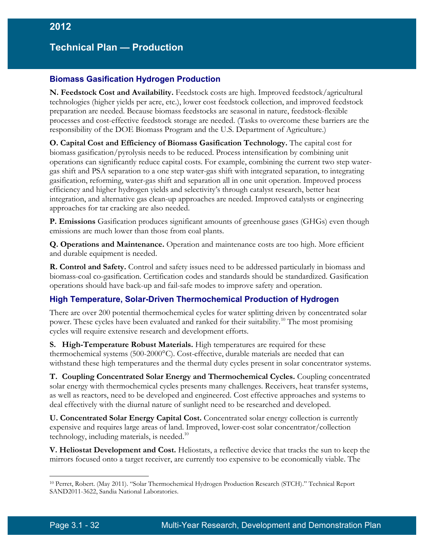#### **Biomass Gasification Hydrogen Production**

**N. Feedstock Cost and Availability.** Feedstock costs are high. Improved feedstock/agricultural technologies (higher yields per acre, etc.), lower cost feedstock collection, and improved feedstock preparation are needed. Because biomass feedstocks are seasonal in nature, feedstock-flexible processes and cost-effective feedstock storage are needed. (Tasks to overcome these barriers are the responsibility of the DOE Biomass Program and the U.S. Department of Agriculture.)

**O. Capital Cost and Efficiency of Biomass Gasification Technology.** The capital cost for biomass gasification/pyrolysis needs to be reduced. Process intensification by combining unit operations can significantly reduce capital costs. For example, combining the current two step watergas shift and PSA separation to a one step water-gas shift with integrated separation, to integrating gasification, reforming, water-gas shift and separation all in one unit operation. Improved process efficiency and higher hydrogen yields and selectivity's through catalyst research, better heat integration, and alternative gas clean-up approaches are needed. Improved catalysts or engineering approaches for tar cracking are also needed.

**P. Emissions** Gasification produces significant amounts of greenhouse gases (GHGs) even though emissions are much lower than those from coal plants.

**Q. Operations and Maintenance.** Operation and maintenance costs are too high. More efficient and durable equipment is needed.

**R. Control and Safety.** Control and safety issues need to be addressed particularly in biomass and biomass-coal co-gasification. Certification codes and standards should be standardized. Gasification operations should have back-up and fail-safe modes to improve safety and operation.

#### **High Temperature, Solar-Driven Thermochemical Production of Hydrogen**

There are over 200 potential thermochemical cycles for water splitting driven by concentrated solar power. These cycles have been evaluated and ranked for their suitability.<sup>[10](#page-31-0)</sup> The most promising cycles will require extensive research and development efforts.

**S. High-Temperature Robust Materials.** High temperatures are required for these thermochemical systems (500-2000°C). Cost-effective, durable materials are needed that can withstand these high temperatures and the thermal duty cycles present in solar concentrator systems.

**T. Coupling Concentrated Solar Energy and Thermochemical Cycles.** Coupling concentrated solar energy with thermochemical cycles presents many challenges. Receivers, heat transfer systems, as well as reactors, need to be developed and engineered. Cost effective approaches and systems to deal effectively with the diurnal nature of sunlight need to be researched and developed.

**U. Concentrated Solar Energy Capital Cost.** Concentrated solar energy collection is currently expensive and requires large areas of land. Improved, lower-cost solar concentrator/collection technology, including materials, is needed.<sup>10</sup>

**V. Heliostat Development and Cost.** Heliostats, a reflective device that tracks the sun to keep the mirrors focused onto a target receiver, are currently too expensive to be economically viable. The

 $\overline{a}$ 

<span id="page-31-0"></span><sup>10</sup> Perret, Robert. (May 2011). "Solar Thermochemical Hydrogen Production Research (STCH)." Technical Report SAND2011-3622, Sandia National Laboratories.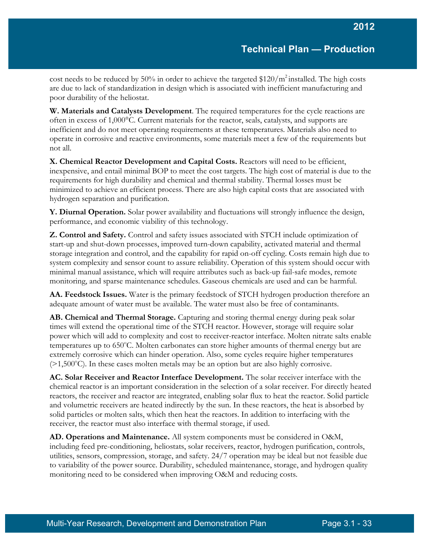cost needs to be reduced by 50% in order to achieve the targeted  $$120/m^2$  installed. The high costs are due to lack of standardization in design which is associated with inefficient manufacturing and poor durability of the heliostat.

**W. Materials and Catalysts Development**. The required temperatures for the cycle reactions are often in excess of 1,000°C. Current materials for the reactor, seals, catalysts, and supports are inefficient and do not meet operating requirements at these temperatures. Materials also need to operate in corrosive and reactive environments, some materials meet a few of the requirements but not all.

**X. Chemical Reactor Development and Capital Costs.** Reactors will need to be efficient, inexpensive, and entail minimal BOP to meet the cost targets. The high cost of material is due to the requirements for high durability and chemical and thermal stability. Thermal losses must be minimized to achieve an efficient process. There are also high capital costs that are associated with hydrogen separation and purification.

**Y. Diurnal Operation.** Solar power availability and fluctuations will strongly influence the design, performance, and economic viability of this technology.

**Z. Control and Safety.** Control and safety issues associated with STCH include optimization of start-up and shut-down processes, improved turn-down capability, activated material and thermal storage integration and control, and the capability for rapid on-off cycling. Costs remain high due to system complexity and sensor count to assure reliability. Operation of this system should occur with minimal manual assistance, which will require attributes such as back-up fail-safe modes, remote monitoring, and sparse maintenance schedules. Gaseous chemicals are used and can be harmful.

**AA. Feedstock Issues.** Water is the primary feedstock of STCH hydrogen production therefore an adequate amount of water must be available. The water must also be free of contaminants.

**AB. Chemical and Thermal Storage.** Capturing and storing thermal energy during peak solar times will extend the operational time of the STCH reactor. However, storage will require solar power which will add to complexity and cost to receiver-reactor interface. Molten nitrate salts enable temperatures up to 650°C. Molten carbonates can store higher amounts of thermal energy but are extremely corrosive which can hinder operation. Also, some cycles require higher temperatures  $(>1,500^{\circ}C)$ . In these cases molten metals may be an option but are also highly corrosive.

**AC. Solar Receiver and Reactor Interface Development.** The solar receiver interface with the chemical reactor is an important consideration in the selection of a solar receiver. For directly heated reactors, the receiver and reactor are integrated, enabling solar flux to heat the reactor. Solid particle and volumetric receivers are heated indirectly by the sun. In these reactors, the heat is absorbed by solid particles or molten salts, which then heat the reactors. In addition to interfacing with the receiver, the reactor must also interface with thermal storage, if used.

**AD. Operations and Maintenance.** All system components must be considered in O&M, including feed pre-conditioning, heliostats, solar receivers, reactor, hydrogen purification, controls, utilities, sensors, compression, storage, and safety. 24/7 operation may be ideal but not feasible due to variability of the power source. Durability, scheduled maintenance, storage, and hydrogen quality monitoring need to be considered when improving O&M and reducing costs.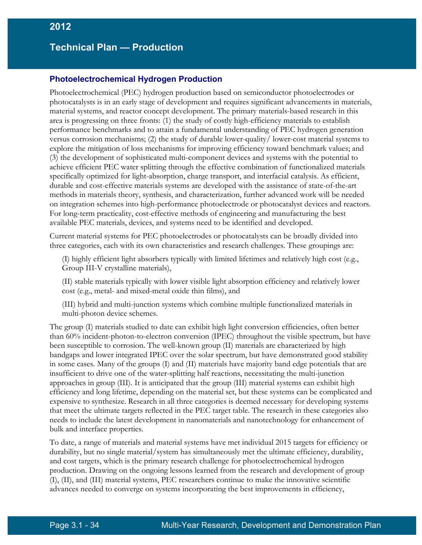#### **Photoelectrochemical Hydrogen Production**

Photoelectrochemical (PEC) hydrogen production based on semiconductor photoelectrodes or photocatalysts is in an early stage of development and requires significant advancements in materials, material systems, and reactor concept development. The primary materials-based research in this area is progressing on three fronts: (1) the study of costly high-efficiency materials to establish performance benchmarks and to attain a fundamental understanding of PEC hydrogen generation versus corrosion mechanisms; (2) the study of durable lower-quality/ lower-cost material systems to explore the mitigation of loss mechanisms for improving efficiency toward benchmark values; and (3) the development of sophisticated multi-component devices and systems with the potential to achieve efficient PEC water splitting through the effective combination of functionalized materials specifically optimized for light-absorption, charge transport, and interfacial catalysis. As efficient, durable and cost-effective materials systems are developed with the assistance of state-of-the-art methods in materials theory, synthesis, and characterization, further advanced work will be needed on integration schemes into high-performance photoelectrode or photocatalyst devices and reactors. For long-term practicality, cost-effective methods of engineering and manufacturing the best available PEC materials, devices, and systems need to be identified and developed.

Current material systems for PEC photoelectrodes or photocatalysts can be broadly divided into three categories, each with its own characteristics and research challenges. These groupings are:

(I) highly efficient light absorbers typically with limited lifetimes and relatively high cost (e.g., Group III-V crystalline materials),

(II) stable materials typically with lower visible light absorption efficiency and relatively lower cost (e.g., metal- and mixed-metal oxide thin films), and

(III) hybrid and multi-junction systems which combine multiple functionalized materials in multi-photon device schemes.

The group (I) materials studied to date can exhibit high light conversion efficiencies, often better than 60% incident-photon-to-electron conversion (IPEC) throughout the visible spectrum, but have been susceptible to corrosion. The well-known group (II) materials are characterized by high bandgaps and lower integrated IPEC over the solar spectrum, but have demonstrated good stability in some cases. Many of the groups (I) and (II) materials have majority band edge potentials that are insufficient to drive one of the water-splitting half reactions, necessitating the multi-junction approaches in group (III). It is anticipated that the group (III) material systems can exhibit high efficiency and long lifetime, depending on the material set, but these systems can be complicated and expensive to synthesize. Research in all three categories is deemed necessary for developing systems that meet the ultimate targets reflected in the PEC target table. The research in these categories also needs to include the latest development in nanomaterials and nanotechnology for enhancement of bulk and interface properties.

To date, a range of materials and material systems have met individual 2015 targets for efficiency or durability, but no single material/system has simultaneously met the ultimate efficiency, durability, and cost targets, which is the primary research challenge for photoelectrochemical hydrogen production. Drawing on the ongoing lessons learned from the research and development of group (I), (II), and (III) material systems, PEC researchers continue to make the innovative scientific advances needed to converge on systems incorporating the best improvements in efficiency,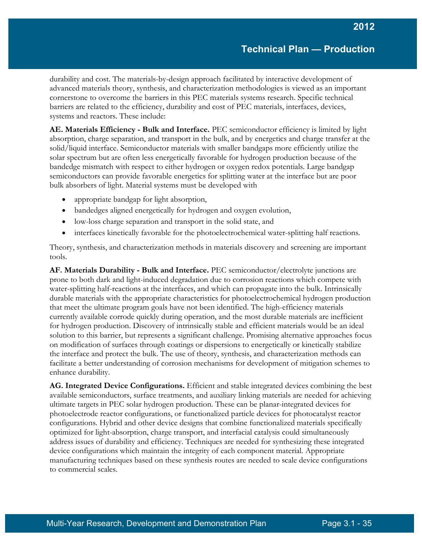durability and cost. The materials-by-design approach facilitated by interactive development of advanced materials theory, synthesis, and characterization methodologies is viewed as an important cornerstone to overcome the barriers in this PEC materials systems research. Specific technical barriers are related to the efficiency, durability and cost of PEC materials, interfaces, devices, systems and reactors. These include:

**AE. Materials Efficiency - Bulk and Interface.** PEC semiconductor efficiency is limited by light absorption, charge separation, and transport in the bulk, and by energetics and charge transfer at the solid/liquid interface. Semiconductor materials with smaller bandgaps more efficiently utilize the solar spectrum but are often less energetically favorable for hydrogen production because of the bandedge mismatch with respect to either hydrogen or oxygen redox potentials. Large bandgap semiconductors can provide favorable energetics for splitting water at the interface but are poor bulk absorbers of light. Material systems must be developed with

- appropriate bandgap for light absorption,
- bandedges aligned energetically for hydrogen and oxygen evolution,
- low-loss charge separation and transport in the solid state, and
- interfaces kinetically favorable for the photoelectrochemical water-splitting half reactions.

Theory, synthesis, and characterization methods in materials discovery and screening are important tools.

**AF. Materials Durability - Bulk and Interface.** PEC semiconductor/electrolyte junctions are prone to both dark and light-induced degradation due to corrosion reactions which compete with water-splitting half-reactions at the interfaces, and which can propagate into the bulk. Intrinsically durable materials with the appropriate characteristics for photoelectrochemical hydrogen production that meet the ultimate program goals have not been identified. The high-efficiency materials currently available corrode quickly during operation, and the most durable materials are inefficient for hydrogen production. Discovery of intrinsically stable and efficient materials would be an ideal solution to this barrier, but represents a significant challenge. Promising alternative approaches focus on modification of surfaces through coatings or dispersions to energetically or kinetically stabilize the interface and protect the bulk. The use of theory, synthesis, and characterization methods can facilitate a better understanding of corrosion mechanisms for development of mitigation schemes to enhance durability.

**AG. Integrated Device Configurations.** Efficient and stable integrated devices combining the best available semiconductors, surface treatments, and auxiliary linking materials are needed for achieving ultimate targets in PEC solar hydrogen production. These can be planar-integrated devices for photoelectrode reactor configurations, or functionalized particle devices for photocatalyst reactor configurations. Hybrid and other device designs that combine functionalized materials specifically optimized for light-absorption, charge transport, and interfacial catalysis could simultaneously address issues of durability and efficiency. Techniques are needed for synthesizing these integrated device configurations which maintain the integrity of each component material. Appropriate manufacturing techniques based on these synthesis routes are needed to scale device configurations to commercial scales.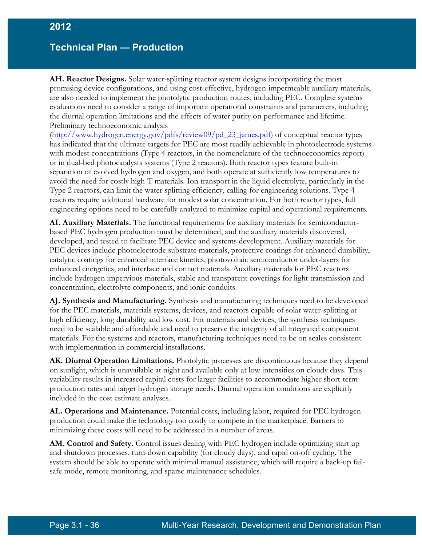**AH. Reactor Designs.** Solar water-splitting reactor system designs incorporating the most promising device configurations, and using cost-effective, hydrogen-impermeable auxiliary materials, are also needed to implement the photolytic production routes, including PEC. Complete systems evaluations need to consider a range of important operational constraints and parameters, including the diurnal operation limitations and the effects of water purity on performance and lifetime. Preliminary technoeconomic analysis

[\(http://www.hydrogen.energy.gov/pdfs/review09/pd\\_23\\_james.pdf\)](http://www.hydrogen.energy.gov/pdfs/review09/pd_23_james.pdf) of conceptual reactor types has indicated that the ultimate targets for PEC are most readily achievable in photoelectrode systems with modest concentrations (Type 4 reactors, in the nomenclature of the technoeconomics report) or in dual-bed photocatalysts systems (Type 2 reactors). Both reactor types feature built-in separation of evolved hydrogen and oxygen, and both operate at sufficiently low temperatures to avoid the need for costly high-T materials. Ion transport in the liquid electrolyte, particularly in the Type 2 reactors, can limit the water splitting efficiency, calling for engineering solutions. Type 4 reactors require additional hardware for modest solar concentration. For both reactor types, full engineering options need to be carefully analyzed to minimize capital and operational requirements.

**AI. Auxiliary Materials.** The functional requirements for auxiliary materials for semiconductorbased PEC hydrogen production must be determined, and the auxiliary materials discovered, developed, and tested to facilitate PEC device and systems development. Auxiliary materials for PEC devices include photoelectrode substrate materials, protective coatings for enhanced durability, catalytic coatings for enhanced interface kinetics, photovoltaic semiconductor under-layers for enhanced energetics, and interface and contact materials. Auxiliary materials for PEC reactors include hydrogen impervious materials, stable and transparent coverings for light transmission and concentration, electrolyte components, and ionic conduits.

**AJ. Synthesis and Manufacturing.** Synthesis and manufacturing techniques need to be developed for the PEC materials, materials systems, devices, and reactors capable of solar water-splitting at high efficiency, long durability and low cost. For materials and devices, the synthesis techniques need to be scalable and affordable and need to preserve the integrity of all integrated component materials. For the systems and reactors, manufacturing techniques need to be on scales consistent with implementation in commercial installations.

**AK. Diurnal Operation Limitations.** Photolytic processes are discontinuous because they depend on sunlight, which is unavailable at night and available only at low intensities on cloudy days. This variability results in increased capital costs for larger facilities to accommodate higher short-term production rates and larger hydrogen storage needs. Diurnal operation conditions are explicitly included in the cost estimate analyses.

**AL. Operations and Maintenance.** Potential costs, including labor, required for PEC hydrogen production could make the technology too costly to compete in the marketplace. Barriers to minimizing these costs will need to be addressed in a number of areas.

**AM. Control and Safety.** Control issues dealing with PEC hydrogen include optimizing start up and shutdown processes, turn-down capability (for cloudy days), and rapid on-off cycling. The system should be able to operate with minimal manual assistance, which will require a back-up failsafe mode, remote monitoring, and sparse maintenance schedules.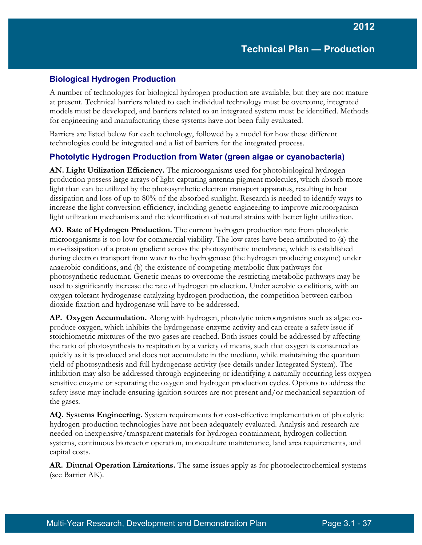#### **Biological Hydrogen Production**

A number of technologies for biological hydrogen production are available, but they are not mature at present. Technical barriers related to each individual technology must be overcome, integrated models must be developed, and barriers related to an integrated system must be identified. Methods for engineering and manufacturing these systems have not been fully evaluated.

Barriers are listed below for each technology, followed by a model for how these different technologies could be integrated and a list of barriers for the integrated process.

#### **Photolytic Hydrogen Production from Water (green algae or cyanobacteria)**

**AN. Light Utilization Efficiency.** The microorganisms used for photobiological hydrogen production possess large arrays of light-capturing antenna pigment molecules, which absorb more light than can be utilized by the photosynthetic electron transport apparatus, resulting in heat dissipation and loss of up to 80% of the absorbed sunlight. Research is needed to identify ways to increase the light conversion efficiency, including genetic engineering to improve microorganism light utilization mechanisms and the identification of natural strains with better light utilization.

**AO. Rate of Hydrogen Production.** The current hydrogen production rate from photolytic microorganisms is too low for commercial viability. The low rates have been attributed to (a) the non-dissipation of a proton gradient across the photosynthetic membrane, which is established during electron transport from water to the hydrogenase (the hydrogen producing enzyme) under anaerobic conditions, and (b) the existence of competing metabolic flux pathways for photosynthetic reductant. Genetic means to overcome the restricting metabolic pathways may be used to significantly increase the rate of hydrogen production. Under aerobic conditions, with an oxygen tolerant hydrogenase catalyzing hydrogen production, the competition between carbon dioxide fixation and hydrogenase will have to be addressed.

**AP. Oxygen Accumulation.** Along with hydrogen, photolytic microorganisms such as algae coproduce oxygen, which inhibits the hydrogenase enzyme activity and can create a safety issue if stoichiometric mixtures of the two gases are reached. Both issues could be addressed by affecting the ratio of photosynthesis to respiration by a variety of means, such that oxygen is consumed as quickly as it is produced and does not accumulate in the medium, while maintaining the quantum yield of photosynthesis and full hydrogenase activity (see details under Integrated System). The inhibition may also be addressed through engineering or identifying a naturally occurring less oxygen sensitive enzyme or separating the oxygen and hydrogen production cycles. Options to address the safety issue may include ensuring ignition sources are not present and/or mechanical separation of the gases.

**AQ. Systems Engineering.** System requirements for cost-effective implementation of photolytic hydrogen-production technologies have not been adequately evaluated. Analysis and research are needed on inexpensive/transparent materials for hydrogen containment, hydrogen collection systems, continuous bioreactor operation, monoculture maintenance, land area requirements, and capital costs.

**AR. Diurnal Operation Limitations.** The same issues apply as for photoelectrochemical systems (see Barrier AK).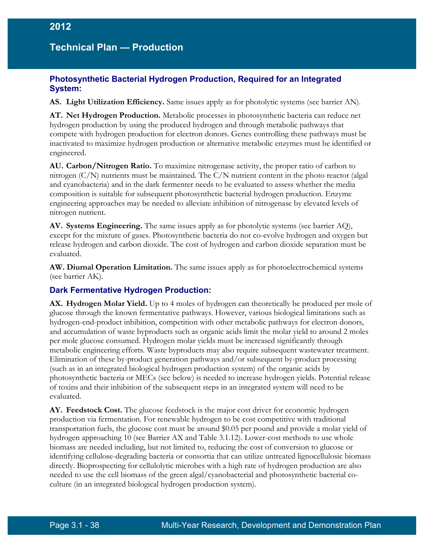#### **Photosynthetic Bacterial Hydrogen Production, Required for an Integrated System:**

**AS. Light Utilization Efficiency.** Same issues apply as for photolytic systems (see barrier AN).

**AT. Net Hydrogen Production.** Metabolic processes in photosynthetic bacteria can reduce net hydrogen production by using the produced hydrogen and through metabolic pathways that compete with hydrogen production for electron donors. Genes controlling these pathways must be inactivated to maximize hydrogen production or alternative metabolic enzymes must be identified or engineered.

**AU. Carbon/Nitrogen Ratio.** To maximize nitrogenase activity, the proper ratio of carbon to nitrogen  $(C/N)$  nutrients must be maintained. The  $C/N$  nutrient content in the photo reactor (algal and cyanobacteria) and in the dark fermenter needs to be evaluated to assess whether the media composition is suitable for subsequent photosynthetic bacterial hydrogen production. Enzyme engineering approaches may be needed to alleviate inhibition of nitrogenase by elevated levels of nitrogen nutrient.

**AV. Systems Engineering.** The same issues apply as for photolytic systems (see barrier AQ), except for the mixture of gases. Photosynthetic bacteria do not co-evolve hydrogen and oxygen but release hydrogen and carbon dioxide. The cost of hydrogen and carbon dioxide separation must be evaluated.

**AW. Diurnal Operation Limitation.** The same issues apply as for photoelectrochemical systems (see barrier AK).

#### **Dark Fermentative Hydrogen Production:**

**AX. Hydrogen Molar Yield.** Up to 4 moles of hydrogen can theoretically be produced per mole of glucose through the known fermentative pathways. However, various biological limitations such as hydrogen-end-product inhibition, competition with other metabolic pathways for electron donors, and accumulation of waste byproducts such as organic acids limit the molar yield to around 2 moles per mole glucose consumed. Hydrogen molar yields must be increased significantly through metabolic engineering efforts. Waste byproducts may also require subsequent wastewater treatment. Elimination of these by-product generation pathways and/or subsequent by-product processing (such as in an integrated biological hydrogen production system) of the organic acids by photosynthetic bacteria or MECs (see below) is needed to increase hydrogen yields. Potential release of toxins and their inhibition of the subsequent steps in an integrated system will need to be evaluated.

**AY. Feedstock Cost.** The glucose feedstock is the major cost driver for economic hydrogen production via fermentation. For renewable hydrogen to be cost competitive with traditional transportation fuels, the glucose cost must be around \$0.05 per pound and provide a molar yield of hydrogen approaching 10 (see Barrier AX and Table 3.1.12). Lower-cost methods to use whole biomass are needed including, but not limited to, reducing the cost of conversion to glucose or identifying cellulose-degrading bacteria or consortia that can utilize untreated lignocellulosic biomass directly. Bioprospecting for cellulolytic microbes with a high rate of hydrogen production are also needed to use the cell biomass of the green algal/cyanobacterial and photosynthetic bacterial coculture (in an integrated biological hydrogen production system).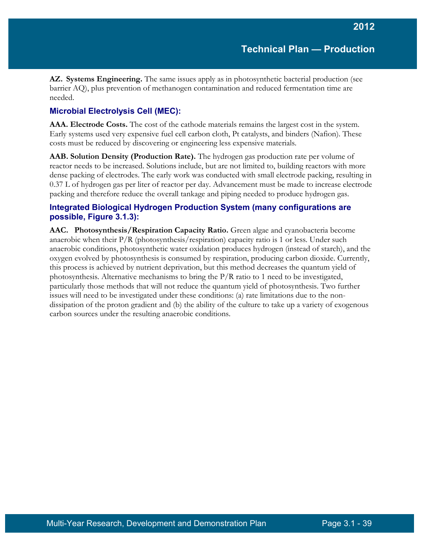**AZ. Systems Engineering.** The same issues apply as in photosynthetic bacterial production (see barrier AQ), plus prevention of methanogen contamination and reduced fermentation time are needed.

### **Microbial Electrolysis Cell (MEC):**

**AAA. Electrode Costs.** The cost of the cathode materials remains the largest cost in the system. Early systems used very expensive fuel cell carbon cloth, Pt catalysts, and binders (Nafion). These costs must be reduced by discovering or engineering less expensive materials.

**AAB. Solution Density (Production Rate).** The hydrogen gas production rate per volume of reactor needs to be increased. Solutions include, but are not limited to, building reactors with more dense packing of electrodes. The early work was conducted with small electrode packing, resulting in 0.37 L of hydrogen gas per liter of reactor per day. Advancement must be made to increase electrode packing and therefore reduce the overall tankage and piping needed to produce hydrogen gas.

#### **Integrated Biological Hydrogen Production System (many configurations are possible, Figure 3.1.3):**

**AAC. Photosynthesis/Respiration Capacity Ratio.** Green algae and cyanobacteria become anaerobic when their  $P/R$  (photosynthesis/respiration) capacity ratio is 1 or less. Under such anaerobic conditions, photosynthetic water oxidation produces hydrogen (instead of starch), and the oxygen evolved by photosynthesis is consumed by respiration, producing carbon dioxide. Currently, this process is achieved by nutrient deprivation, but this method decreases the quantum yield of photosynthesis. Alternative mechanisms to bring the P/R ratio to 1 need to be investigated, particularly those methods that will not reduce the quantum yield of photosynthesis. Two further issues will need to be investigated under these conditions: (a) rate limitations due to the nondissipation of the proton gradient and (b) the ability of the culture to take up a variety of exogenous carbon sources under the resulting anaerobic conditions.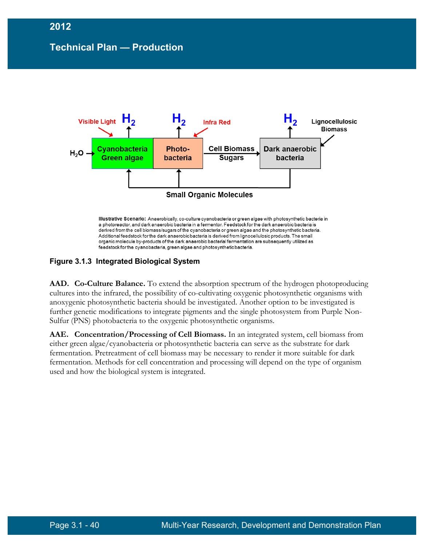

**Figure 3.1.3 Integrated Biological System** 

**AAD. Co-Culture Balance.** To extend the absorption spectrum of the hydrogen photoproducing cultures into the infrared, the possibility of co-cultivating oxygenic photosynthetic organisms with anoxygenic photosynthetic bacteria should be investigated. Another option to be investigated is further genetic modifications to integrate pigments and the single photosystem from Purple Non-Sulfur (PNS) photobacteria to the oxygenic photosynthetic organisms.

**AAE. Concentration/Processing of Cell Biomass.** In an integrated system, cell biomass from either green algae/cyanobacteria or photosynthetic bacteria can serve as the substrate for dark fermentation. Pretreatment of cell biomass may be necessary to render it more suitable for dark fermentation. Methods for cell concentration and processing will depend on the type of organism used and how the biological system is integrated.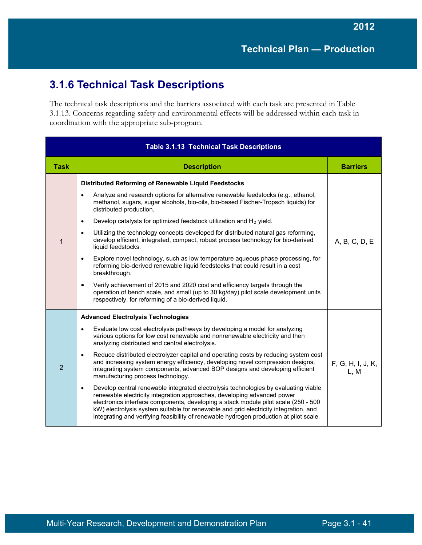# **3.1.6 Technical Task Descriptions**

The technical task descriptions and the barriers associated with each task are presented in Table 3.1.13. Concerns regarding safety and environmental effects will be addressed within each task in coordination with the appropriate sub-program.

| <b>Table 3.1.13 Technical Task Descriptions</b> |                                                                                                                                                                                                                                                                                                                                                                                                                                                                                                                                                                                                                                                                                                                                                                                                                                                                                                                                                                                                                                            |                           |  |  |
|-------------------------------------------------|--------------------------------------------------------------------------------------------------------------------------------------------------------------------------------------------------------------------------------------------------------------------------------------------------------------------------------------------------------------------------------------------------------------------------------------------------------------------------------------------------------------------------------------------------------------------------------------------------------------------------------------------------------------------------------------------------------------------------------------------------------------------------------------------------------------------------------------------------------------------------------------------------------------------------------------------------------------------------------------------------------------------------------------------|---------------------------|--|--|
| <b>Task</b>                                     | <b>Description</b>                                                                                                                                                                                                                                                                                                                                                                                                                                                                                                                                                                                                                                                                                                                                                                                                                                                                                                                                                                                                                         | <b>Barriers</b>           |  |  |
| $\mathbf{1}$                                    | Distributed Reforming of Renewable Liquid Feedstocks<br>Analyze and research options for alternative renewable feedstocks (e.g., ethanol,<br>$\bullet$<br>methanol, sugars, sugar alcohols, bio-oils, bio-based Fischer-Tropsch liquids) for<br>distributed production.<br>Develop catalysts for optimized feedstock utilization and H <sub>2</sub> yield.<br>$\bullet$<br>Utilizing the technology concepts developed for distributed natural gas reforming,<br>$\bullet$<br>develop efficient, integrated, compact, robust process technology for bio-derived<br>liquid feedstocks.<br>Explore novel technology, such as low temperature aqueous phase processing, for<br>$\bullet$<br>reforming bio-derived renewable liquid feedstocks that could result in a cost<br>breakthrough.<br>Verify achievement of 2015 and 2020 cost and efficiency targets through the<br>٠<br>operation of bench scale, and small (up to 30 kg/day) pilot scale development units<br>respectively, for reforming of a bio-derived liquid.                 | A, B, C, D, E             |  |  |
| $\overline{2}$                                  | <b>Advanced Electrolysis Technologies</b><br>Evaluate low cost electrolysis pathways by developing a model for analyzing<br>$\bullet$<br>various options for low cost renewable and nonrenewable electricity and then<br>analyzing distributed and central electrolysis.<br>Reduce distributed electrolyzer capital and operating costs by reducing system cost<br>$\bullet$<br>and increasing system energy efficiency, developing novel compression designs,<br>integrating system components, advanced BOP designs and developing efficient<br>manufacturing process technology.<br>Develop central renewable integrated electrolysis technologies by evaluating viable<br>$\bullet$<br>renewable electricity integration approaches, developing advanced power<br>electronics interface components, developing a stack module pilot scale (250 - 500<br>kW) electrolysis system suitable for renewable and grid electricity integration, and<br>integrating and verifying feasibility of renewable hydrogen production at pilot scale. | F, G, H, I, J, K,<br>L, M |  |  |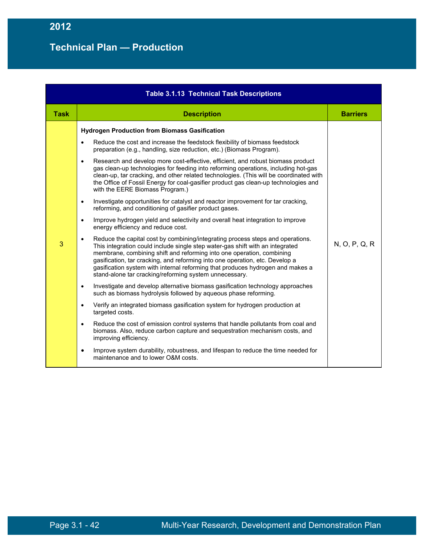| <b>Table 3.1.13 Technical Task Descriptions</b> |                                                                                                                                                                                                                                                                                                                                                                                                                                                                      |                 |  |  |
|-------------------------------------------------|----------------------------------------------------------------------------------------------------------------------------------------------------------------------------------------------------------------------------------------------------------------------------------------------------------------------------------------------------------------------------------------------------------------------------------------------------------------------|-----------------|--|--|
| <b>Task</b>                                     | <b>Description</b>                                                                                                                                                                                                                                                                                                                                                                                                                                                   | <b>Barriers</b> |  |  |
|                                                 | <b>Hydrogen Production from Biomass Gasification</b>                                                                                                                                                                                                                                                                                                                                                                                                                 |                 |  |  |
|                                                 | Reduce the cost and increase the feedstock flexibility of biomass feedstock<br>$\bullet$<br>preparation (e.g., handling, size reduction, etc.) (Biomass Program).                                                                                                                                                                                                                                                                                                    |                 |  |  |
|                                                 | Research and develop more cost-effective, efficient, and robust biomass product<br>$\bullet$<br>gas clean-up technologies for feeding into reforming operations, including hot-gas<br>clean-up, tar cracking, and other related technologies. (This will be coordinated with<br>the Office of Fossil Energy for coal-gasifier product gas clean-up technologies and<br>with the EERE Biomass Program.)                                                               |                 |  |  |
|                                                 | Investigate opportunities for catalyst and reactor improvement for tar cracking,<br>$\bullet$<br>reforming, and conditioning of gasifier product gases.                                                                                                                                                                                                                                                                                                              |                 |  |  |
|                                                 | Improve hydrogen yield and selectivity and overall heat integration to improve<br>$\bullet$<br>energy efficiency and reduce cost.                                                                                                                                                                                                                                                                                                                                    |                 |  |  |
| 3                                               | Reduce the capital cost by combining/integrating process steps and operations.<br>This integration could include single step water-gas shift with an integrated<br>membrane, combining shift and reforming into one operation, combining<br>gasification, tar cracking, and reforming into one operation, etc. Develop a<br>gasification system with internal reforming that produces hydrogen and makes a<br>stand-alone tar cracking/reforming system unnecessary. | N, O, P, Q, R   |  |  |
|                                                 | Investigate and develop alternative biomass gasification technology approaches<br>$\bullet$<br>such as biomass hydrolysis followed by aqueous phase reforming.                                                                                                                                                                                                                                                                                                       |                 |  |  |
|                                                 | Verify an integrated biomass gasification system for hydrogen production at<br>$\bullet$<br>targeted costs.                                                                                                                                                                                                                                                                                                                                                          |                 |  |  |
|                                                 | Reduce the cost of emission control systems that handle pollutants from coal and<br>$\bullet$<br>biomass. Also, reduce carbon capture and sequestration mechanism costs, and<br>improving efficiency.                                                                                                                                                                                                                                                                |                 |  |  |
|                                                 | Improve system durability, robustness, and lifespan to reduce the time needed for<br>$\bullet$<br>maintenance and to lower O&M costs.                                                                                                                                                                                                                                                                                                                                |                 |  |  |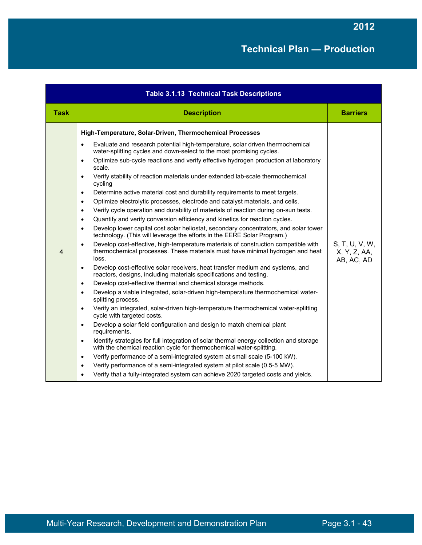| <b>Table 3.1.13 Technical Task Descriptions</b> |                                                                                                                                                                                                                                                                                                                                                                                                                                                                                                                                                                                                                                                                                                                                                                                                                                                                                                                                                                                                                                                                                                                                                                                                                                                                                                                                                                                                                                                                                                                                                                                                                                                                                                                                                                                                                                                                                                                                                                                                                                                                                                                                                                                                                                                                                                         |                                              |
|-------------------------------------------------|---------------------------------------------------------------------------------------------------------------------------------------------------------------------------------------------------------------------------------------------------------------------------------------------------------------------------------------------------------------------------------------------------------------------------------------------------------------------------------------------------------------------------------------------------------------------------------------------------------------------------------------------------------------------------------------------------------------------------------------------------------------------------------------------------------------------------------------------------------------------------------------------------------------------------------------------------------------------------------------------------------------------------------------------------------------------------------------------------------------------------------------------------------------------------------------------------------------------------------------------------------------------------------------------------------------------------------------------------------------------------------------------------------------------------------------------------------------------------------------------------------------------------------------------------------------------------------------------------------------------------------------------------------------------------------------------------------------------------------------------------------------------------------------------------------------------------------------------------------------------------------------------------------------------------------------------------------------------------------------------------------------------------------------------------------------------------------------------------------------------------------------------------------------------------------------------------------------------------------------------------------------------------------------------------------|----------------------------------------------|
| <b>Task</b>                                     | <b>Description</b>                                                                                                                                                                                                                                                                                                                                                                                                                                                                                                                                                                                                                                                                                                                                                                                                                                                                                                                                                                                                                                                                                                                                                                                                                                                                                                                                                                                                                                                                                                                                                                                                                                                                                                                                                                                                                                                                                                                                                                                                                                                                                                                                                                                                                                                                                      | <b>Barriers</b>                              |
| $\overline{4}$                                  | High-Temperature, Solar-Driven, Thermochemical Processes<br>Evaluate and research potential high-temperature, solar driven thermochemical<br>$\bullet$<br>water-splitting cycles and down-select to the most promising cycles.<br>Optimize sub-cycle reactions and verify effective hydrogen production at laboratory<br>$\bullet$<br>scale.<br>Verify stability of reaction materials under extended lab-scale thermochemical<br>$\bullet$<br>cycling<br>Determine active material cost and durability requirements to meet targets.<br>$\bullet$<br>Optimize electrolytic processes, electrode and catalyst materials, and cells.<br>$\bullet$<br>Verify cycle operation and durability of materials of reaction during on-sun tests.<br>$\bullet$<br>Quantify and verify conversion efficiency and kinetics for reaction cycles.<br>$\bullet$<br>Develop lower capital cost solar heliostat, secondary concentrators, and solar tower<br>$\bullet$<br>technology. (This will leverage the efforts in the EERE Solar Program.)<br>Develop cost-effective, high-temperature materials of construction compatible with<br>$\bullet$<br>thermochemical processes. These materials must have minimal hydrogen and heat<br>loss.<br>Develop cost-effective solar receivers, heat transfer medium and systems, and<br>$\bullet$<br>reactors, designs, including materials specifications and testing.<br>Develop cost-effective thermal and chemical storage methods.<br>$\bullet$<br>Develop a viable integrated, solar-driven high-temperature thermochemical water-<br>$\bullet$<br>splitting process.<br>Verify an integrated, solar-driven high-temperature thermochemical water-splitting<br>$\bullet$<br>cycle with targeted costs.<br>Develop a solar field configuration and design to match chemical plant<br>$\bullet$<br>requirements.<br>Identify strategies for full integration of solar thermal energy collection and storage<br>$\bullet$<br>with the chemical reaction cycle for thermochemical water-splitting.<br>Verify performance of a semi-integrated system at small scale (5-100 kW).<br>$\bullet$<br>Verify performance of a semi-integrated system at pilot scale (0.5-5 MW).<br>$\bullet$<br>Verify that a fully-integrated system can achieve 2020 targeted costs and yields. | S, T, U, V, W,<br>X, Y, Z, AA,<br>AB, AC, AD |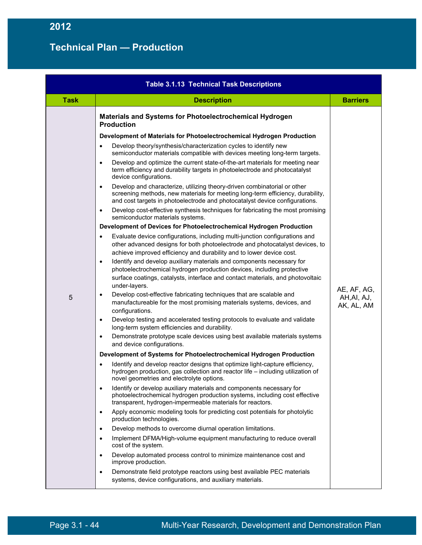| <b>Table 3.1.13 Technical Task Descriptions</b> |                                                                                                                                                                                                                                                                 |                                          |
|-------------------------------------------------|-----------------------------------------------------------------------------------------------------------------------------------------------------------------------------------------------------------------------------------------------------------------|------------------------------------------|
| <b>Task</b>                                     | <b>Description</b>                                                                                                                                                                                                                                              | <b>Barriers</b>                          |
|                                                 | <b>Materials and Systems for Photoelectrochemical Hydrogen</b><br><b>Production</b>                                                                                                                                                                             |                                          |
|                                                 | Development of Materials for Photoelectrochemical Hydrogen Production                                                                                                                                                                                           |                                          |
|                                                 | Develop theory/synthesis/characterization cycles to identify new<br>$\bullet$<br>semiconductor materials compatible with devices meeting long-term targets.                                                                                                     |                                          |
|                                                 | Develop and optimize the current state-of-the-art materials for meeting near<br>$\bullet$<br>term efficiency and durability targets in photoelectrode and photocatalyst<br>device configurations.                                                               |                                          |
|                                                 | Develop and characterize, utilizing theory-driven combinatorial or other<br>$\bullet$<br>screening methods, new materials for meeting long-term efficiency, durability,<br>and cost targets in photoelectrode and photocatalyst device configurations.          |                                          |
|                                                 | Develop cost-effective synthesis techniques for fabricating the most promising<br>$\bullet$<br>semiconductor materials systems.                                                                                                                                 |                                          |
|                                                 | Development of Devices for Photoelectrochemical Hydrogen Production                                                                                                                                                                                             |                                          |
|                                                 | Evaluate device configurations, including multi-junction configurations and<br>$\bullet$<br>other advanced designs for both photoelectrode and photocatalyst devices, to<br>achieve improved efficiency and durability and to lower device cost.                |                                          |
|                                                 | Identify and develop auxiliary materials and components necessary for<br>$\bullet$<br>photoelectrochemical hydrogen production devices, including protective<br>surface coatings, catalysts, interface and contact materials, and photovoltaic<br>under-layers. |                                          |
| 5                                               | Develop cost-effective fabricating techniques that are scalable and<br>$\bullet$<br>manufactureable for the most promising materials systems, devices, and<br>configurations.                                                                                   | AE, AF, AG,<br>AH, AI, AJ,<br>AK, AL, AM |
|                                                 | Develop testing and accelerated testing protocols to evaluate and validate<br>$\bullet$<br>long-term system efficiencies and durability.                                                                                                                        |                                          |
|                                                 | Demonstrate prototype scale devices using best available materials systems<br>$\bullet$<br>and device configurations.                                                                                                                                           |                                          |
|                                                 | Development of Systems for Photoelectrochemical Hydrogen Production                                                                                                                                                                                             |                                          |
|                                                 | Identify and develop reactor designs that optimize light-capture efficiency,<br>$\bullet$<br>hydrogen production, gas collection and reactor life - including utilization of<br>novel geometries and electrolyte options.                                       |                                          |
|                                                 | Identify or develop auxiliary materials and components necessary for<br>$\bullet$<br>photoelectrochemical hydrogen production systems, including cost effective<br>transparent, hydrogen-impermeable materials for reactors.                                    |                                          |
|                                                 | Apply economic modeling tools for predicting cost potentials for photolytic<br>$\bullet$<br>production technologies.                                                                                                                                            |                                          |
|                                                 | Develop methods to overcome diurnal operation limitations.<br>$\bullet$                                                                                                                                                                                         |                                          |
|                                                 | Implement DFMA/High-volume equipment manufacturing to reduce overall<br>$\bullet$<br>cost of the system.                                                                                                                                                        |                                          |
|                                                 | Develop automated process control to minimize maintenance cost and<br>$\bullet$<br>improve production.                                                                                                                                                          |                                          |
|                                                 | Demonstrate field prototype reactors using best available PEC materials<br>$\bullet$<br>systems, device configurations, and auxiliary materials.                                                                                                                |                                          |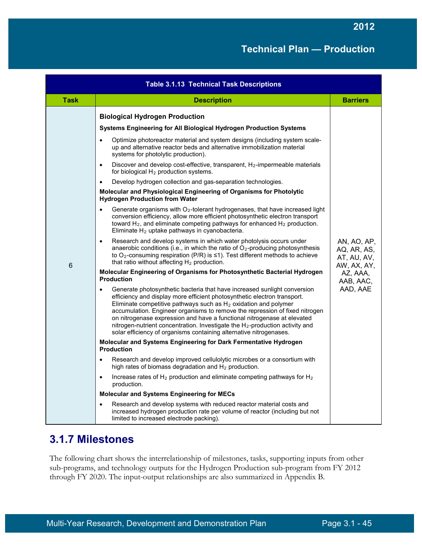| <b>Table 3.1.13 Technical Task Descriptions</b> |                                                                                                                                                                                                                                                                                                                                                                                                                                                                                                                                                                                                                                                                                                                                                                                                                                                                                                                                                                                                                                                                                                                                                                                                       |                                                                 |
|-------------------------------------------------|-------------------------------------------------------------------------------------------------------------------------------------------------------------------------------------------------------------------------------------------------------------------------------------------------------------------------------------------------------------------------------------------------------------------------------------------------------------------------------------------------------------------------------------------------------------------------------------------------------------------------------------------------------------------------------------------------------------------------------------------------------------------------------------------------------------------------------------------------------------------------------------------------------------------------------------------------------------------------------------------------------------------------------------------------------------------------------------------------------------------------------------------------------------------------------------------------------|-----------------------------------------------------------------|
| <b>Task</b>                                     | <b>Description</b>                                                                                                                                                                                                                                                                                                                                                                                                                                                                                                                                                                                                                                                                                                                                                                                                                                                                                                                                                                                                                                                                                                                                                                                    | <b>Barriers</b>                                                 |
|                                                 | <b>Biological Hydrogen Production</b><br>Systems Engineering for All Biological Hydrogen Production Systems<br>Optimize photoreactor material and system designs (including system scale-<br>$\bullet$<br>up and alternative reactor beds and alternative immobilization material<br>systems for photolytic production).<br>Discover and develop cost-effective, transparent, H <sub>2</sub> -impermeable materials<br>$\bullet$<br>for biological $H_2$ production systems.<br>Develop hydrogen collection and gas-separation technologies.<br>$\bullet$<br>Molecular and Physiological Engineering of Organisms for Photolytic<br><b>Hydrogen Production from Water</b><br>Generate organisms with $O_2$ -tolerant hydrogenases, that have increased light<br>$\bullet$<br>conversion efficiency, allow more efficient photosynthetic electron transport<br>toward H <sub>2</sub> , and eliminate competing pathways for enhanced H <sub>2</sub> production.<br>Eliminate H <sub>2</sub> uptake pathways in cyanobacteria.<br>Research and develop systems in which water photolysis occurs under<br>$\bullet$<br>anaerobic conditions (i.e., in which the ratio of $O_2$ -producing photosynthesis | AN, AO, AP,<br>AQ, AR, AS,                                      |
| 6                                               | to O <sub>2</sub> -consuming respiration (P/R) is $\leq$ 1). Test different methods to achieve<br>that ratio without affecting H <sub>2</sub> production.<br>Molecular Engineering of Organisms for Photosynthetic Bacterial Hydrogen<br><b>Production</b><br>Generate photosynthetic bacteria that have increased sunlight conversion<br>$\bullet$<br>efficiency and display more efficient photosynthetic electron transport.<br>Eliminate competitive pathways such as $H_2$ oxidation and polymer<br>accumulation. Engineer organisms to remove the repression of fixed nitrogen<br>on nitrogenase expression and have a functional nitrogenase at elevated<br>nitrogen-nutrient concentration. Investigate the $H_2$ -production activity and<br>solar efficiency of organisms containing alternative nitrogenases.                                                                                                                                                                                                                                                                                                                                                                              | AT, AU, AV,<br>AW, AX, AY,<br>AZ, AAA,<br>AAB, AAC,<br>AAD, AAE |
|                                                 | Molecular and Systems Engineering for Dark Fermentative Hydrogen<br><b>Production</b>                                                                                                                                                                                                                                                                                                                                                                                                                                                                                                                                                                                                                                                                                                                                                                                                                                                                                                                                                                                                                                                                                                                 |                                                                 |
|                                                 | Research and develop improved cellulolytic microbes or a consortium with<br>$\bullet$<br>high rates of biomass degradation and H <sub>2</sub> production.                                                                                                                                                                                                                                                                                                                                                                                                                                                                                                                                                                                                                                                                                                                                                                                                                                                                                                                                                                                                                                             |                                                                 |
|                                                 | Increase rates of $H_2$ production and eliminate competing pathways for $H_2$<br>$\bullet$<br>production.                                                                                                                                                                                                                                                                                                                                                                                                                                                                                                                                                                                                                                                                                                                                                                                                                                                                                                                                                                                                                                                                                             |                                                                 |
|                                                 | <b>Molecular and Systems Engineering for MECs</b>                                                                                                                                                                                                                                                                                                                                                                                                                                                                                                                                                                                                                                                                                                                                                                                                                                                                                                                                                                                                                                                                                                                                                     |                                                                 |
|                                                 | Research and develop systems with reduced reactor material costs and<br>$\bullet$<br>increased hydrogen production rate per volume of reactor (including but not<br>limited to increased electrode packing).                                                                                                                                                                                                                                                                                                                                                                                                                                                                                                                                                                                                                                                                                                                                                                                                                                                                                                                                                                                          |                                                                 |

# **3.1.7 Milestones**

The following chart shows the interrelationship of milestones, tasks, supporting inputs from other sub-programs, and technology outputs for the Hydrogen Production sub-program from FY 2012 through FY 2020. The input-output relationships are also summarized in Appendix B.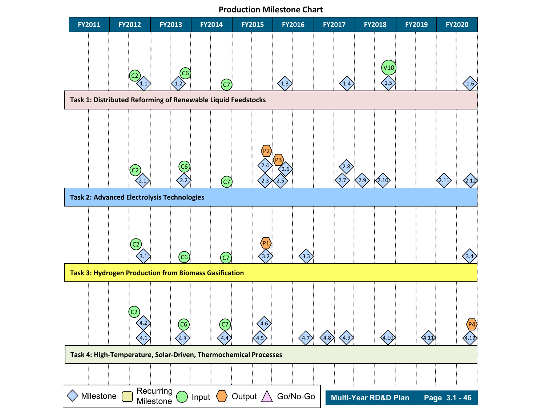**Production Milestone Chart**

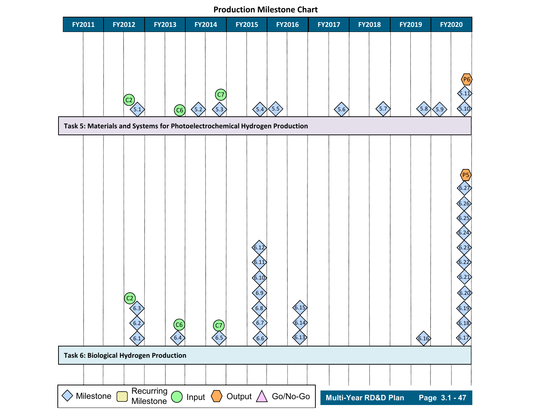**Production Milestone Chart**

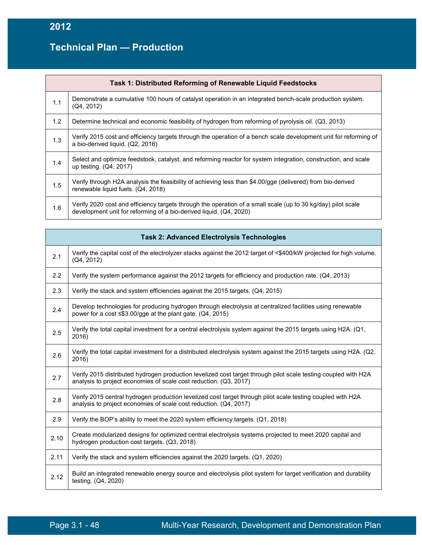# **Technical Plan — Production**

|     | Task 1: Distributed Reforming of Renewable Liquid Feedstocks                                                                                                                       |
|-----|------------------------------------------------------------------------------------------------------------------------------------------------------------------------------------|
| 1.1 | Demonstrate a cumulative 100 hours of catalyst operation in an integrated bench-scale production system.<br>(Q4, 2012)                                                             |
| 1.2 | Determine technical and economic feasibility of hydrogen from reforming of pyrolysis oil. (Q3, 2013)                                                                               |
| 1.3 | Verify 2015 cost and efficiency targets through the operation of a bench scale development unit for reforming of<br>a bio-derived liquid. (Q2, 2016)                               |
| 1.4 | Select and optimize feedstock, catalyst, and reforming reactor for system integration, construction, and scale<br>up testing. (Q4, 2017)                                           |
| 1.5 | Verify through H2A analysis the feasibility of achieving less than \$4.00/gge (delivered) from bio-derived<br>renewable liquid fuels. (Q4, 2018)                                   |
| 1.6 | Verify 2020 cost and efficiency targets through the operation of a small scale (up to 30 kg/day) pilot scale<br>development unit for reforming of a bio-derived liquid. (Q4, 2020) |

|      | <b>Task 2: Advanced Electrolysis Technologies</b>                                                                                                                                   |  |
|------|-------------------------------------------------------------------------------------------------------------------------------------------------------------------------------------|--|
| 2.1  | Verify the capital cost of the electrolyzer stacks against the 2012 target of <\$400/kW projected for high volume.<br>(Q4, 2012)                                                    |  |
| 2.2  | Verify the system performance against the 2012 targets for efficiency and production rate. (Q4, 2013)                                                                               |  |
| 2.3  | Verify the stack and system efficiencies against the 2015 targets. (Q4, 2015)                                                                                                       |  |
| 2.4  | Develop technologies for producing hydrogen through electrolysis at centralized facilities using renewable<br>power for a cost $\leq$ \$3.00/gge at the plant gate. (Q4, 2015)      |  |
| 2.5  | Verify the total capital investment for a central electrolysis system against the 2015 targets using H2A. (Q1,<br>2016)                                                             |  |
| 2.6  | Verify the total capital investment for a distributed electrolysis system against the 2015 targets using H2A. (Q2,<br>2016)                                                         |  |
| 2.7  | Verify 2015 distributed hydrogen production levelized cost target through pilot scale testing coupled with H2A<br>analysis to project economies of scale cost reduction. (Q3, 2017) |  |
| 2.8  | Verify 2015 central hydrogen production levelized cost target through pilot scale testing coupled with H2A<br>analysis to project economies of scale cost reduction. (Q4, 2017)     |  |
| 2.9  | Verify the BOP's ability to meet the 2020 system efficiency targets. (Q1, 2018)                                                                                                     |  |
| 2.10 | Create modularized designs for optimized central electrolysis systems projected to meet 2020 capital and<br>hydrogen production cost targets. (Q3, 2018)                            |  |
| 2.11 | Verify the stack and system efficiencies against the 2020 targets. (Q1, 2020)                                                                                                       |  |
| 2.12 | Build an integrated renewable energy source and electrolysis pilot system for target verification and durability<br>testing. (Q4, 2020)                                             |  |

Ť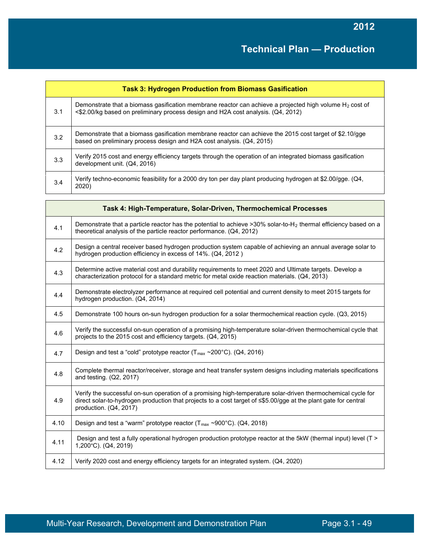|     | <b>Task 3: Hydrogen Production from Biomass Gasification</b>                                                                                                                                            |  |
|-----|---------------------------------------------------------------------------------------------------------------------------------------------------------------------------------------------------------|--|
| 3.1 | Demonstrate that a biomass gasification membrane reactor can achieve a projected high volume H <sub>2</sub> cost of<br><\$2.00/kg based on preliminary process design and H2A cost analysis. (Q4, 2012) |  |
| 3.2 | Demonstrate that a biomass gasification membrane reactor can achieve the 2015 cost target of \$2.10/gge<br>based on preliminary process design and H2A cost analysis. (Q4, 2015)                        |  |
| 3.3 | Verify 2015 cost and energy efficiency targets through the operation of an integrated biomass gasification<br>development unit. (Q4, 2016)                                                              |  |
| 3.4 | Verify techno-economic feasibility for a 2000 dry ton per day plant producing hydrogen at \$2.00/gge. (Q4,<br>2020)                                                                                     |  |

|      | Task 4: High-Temperature, Solar-Driven, Thermochemical Processes                                                                                                                                                                                          |
|------|-----------------------------------------------------------------------------------------------------------------------------------------------------------------------------------------------------------------------------------------------------------|
| 4.1  | Demonstrate that a particle reactor has the potential to achieve >30% solar-to-H <sub>2</sub> thermal efficiency based on a<br>theoretical analysis of the particle reactor performance. (Q4, 2012)                                                       |
| 4.2  | Design a central receiver based hydrogen production system capable of achieving an annual average solar to<br>hydrogen production efficiency in excess of 14%. (Q4, 2012)                                                                                 |
| 4.3  | Determine active material cost and durability requirements to meet 2020 and Ultimate targets. Develop a<br>characterization protocol for a standard metric for metal oxide reaction materials. (Q4, 2013)                                                 |
| 4.4  | Demonstrate electrolyzer performance at required cell potential and current density to meet 2015 targets for<br>hydrogen production. (Q4, 2014)                                                                                                           |
| 4.5  | Demonstrate 100 hours on-sun hydrogen production for a solar thermochemical reaction cycle. (Q3, 2015)                                                                                                                                                    |
| 4.6  | Verify the successful on-sun operation of a promising high-temperature solar-driven thermochemical cycle that<br>projects to the 2015 cost and efficiency targets. (Q4, 2015)                                                                             |
| 4.7  | Design and test a "cold" prototype reactor $(T_{max} \sim 200^{\circ}C)$ . (Q4, 2016)                                                                                                                                                                     |
| 4.8  | Complete thermal reactor/receiver, storage and heat transfer system designs including materials specifications<br>and testing. (Q2, 2017)                                                                                                                 |
| 4.9  | Verify the successful on-sun operation of a promising high-temperature solar-driven thermochemical cycle for<br>direct solar-to-hydrogen production that projects to a cost target of <\$5.00/gge at the plant gate for central<br>production. (Q4, 2017) |
| 4.10 | Design and test a "warm" prototype reactor ( $T_{max} \sim 900^{\circ}$ C). (Q4, 2018)                                                                                                                                                                    |
| 4.11 | Design and test a fully operational hydrogen production prototype reactor at the 5kW (thermal input) level (T ><br>1,200°C). (Q4, 2019)                                                                                                                   |
| 4.12 | Verify 2020 cost and energy efficiency targets for an integrated system. (Q4, 2020)                                                                                                                                                                       |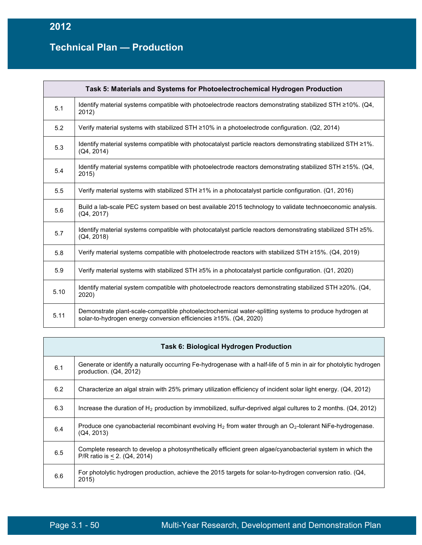| Task 5: Materials and Systems for Photoelectrochemical Hydrogen Production |                                                                                                                                                                             |
|----------------------------------------------------------------------------|-----------------------------------------------------------------------------------------------------------------------------------------------------------------------------|
| 5.1                                                                        | Identify material systems compatible with photoelectrode reactors demonstrating stabilized STH ≥10%. (Q4,<br>2012)                                                          |
| 5.2                                                                        | Verify material systems with stabilized STH $\geq$ 10% in a photoelectrode configuration. (Q2, 2014)                                                                        |
| 5.3                                                                        | Identify material systems compatible with photocatalyst particle reactors demonstrating stabilized STH $\geq$ 1%.<br>(Q4, 2014)                                             |
| 5.4                                                                        | Identify material systems compatible with photoelectrode reactors demonstrating stabilized STH $\geq$ 15%. (Q4,<br>2015)                                                    |
| 5.5                                                                        | Verify material systems with stabilized STH ≥1% in a photocatalyst particle configuration. (Q1, 2016)                                                                       |
| 5.6                                                                        | Build a lab-scale PEC system based on best available 2015 technology to validate technoeconomic analysis.<br>(Q4, 2017)                                                     |
| 5.7                                                                        | Identify material systems compatible with photocatalyst particle reactors demonstrating stabilized STH ≥5%.<br>(Q4, 2018)                                                   |
| 5.8                                                                        | Verify material systems compatible with photoelectrode reactors with stabilized STH $\geq$ 15%. (Q4, 2019)                                                                  |
| 5.9                                                                        | Verify material systems with stabilized STH ≥5% in a photocatalyst particle configuration. (Q1, 2020)                                                                       |
| 5.10                                                                       | Identify material system compatible with photoelectrode reactors demonstrating stabilized STH $\geq$ 20%. (Q4,<br>2020)                                                     |
| 5.11                                                                       | Demonstrate plant-scale-compatible photoelectrochemical water-splitting systems to produce hydrogen at<br>solar-to-hydrogen energy conversion efficiencies ≥15%. (Q4, 2020) |

|     | <b>Task 6: Biological Hydrogen Production</b>                                                                                                 |
|-----|-----------------------------------------------------------------------------------------------------------------------------------------------|
| 6.1 | Generate or identify a naturally occurring Fe-hydrogenase with a half-life of 5 min in air for photolytic hydrogen<br>production. (Q4, 2012)  |
| 6.2 | Characterize an algal strain with 25% primary utilization efficiency of incident solar light energy. (Q4, 2012)                               |
| 6.3 | Increase the duration of H <sub>2</sub> production by immobilized, sulfur-deprived algal cultures to 2 months. (Q4, 2012)                     |
| 6.4 | Produce one cyanobacterial recombinant evolving $H_2$ from water through an $O_2$ -tolerant NiFe-hydrogenase.<br>(Q4, 2013)                   |
| 6.5 | Complete research to develop a photosynthetically efficient green algae/cyanobacterial system in which the<br>P/R ratio is $< 2$ . (Q4, 2014) |
| 6.6 | For photolytic hydrogen production, achieve the 2015 targets for solar-to-hydrogen conversion ratio. (Q4,<br>2015)                            |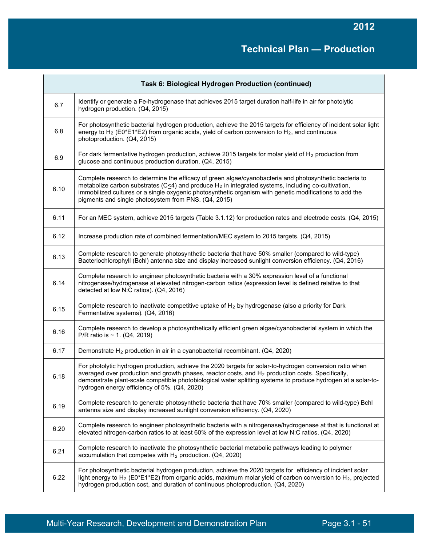| Task 6: Biological Hydrogen Production (continued) |                                                                                                                                                                                                                                                                                                                                                                                              |
|----------------------------------------------------|----------------------------------------------------------------------------------------------------------------------------------------------------------------------------------------------------------------------------------------------------------------------------------------------------------------------------------------------------------------------------------------------|
| 6.7                                                | Identify or generate a Fe-hydrogenase that achieves 2015 target duration half-life in air for photolytic<br>hydrogen production. (Q4, 2015)                                                                                                                                                                                                                                                  |
| 6.8                                                | For photosynthetic bacterial hydrogen production, achieve the 2015 targets for efficiency of incident solar light<br>energy to H <sub>2</sub> (E0*E1*E2) from organic acids, yield of carbon conversion to H <sub>2</sub> , and continuous<br>photoproduction. (Q4, 2015)                                                                                                                    |
| 6.9                                                | For dark fermentative hydrogen production, achieve 2015 targets for molar yield of H <sub>2</sub> production from<br>glucose and continuous production duration. (Q4, 2015)                                                                                                                                                                                                                  |
| 6.10                                               | Complete research to determine the efficacy of green algae/cyanobacteria and photosynthetic bacteria to<br>metabolize carbon substrates ( $C \leq 4$ ) and produce $H_2$ in integrated systems, including co-cultivation,<br>immobilized cultures or a single oxygenic photosynthetic organism with genetic modifications to add the<br>pigments and single photosystem from PNS. (Q4, 2015) |
| 6.11                                               | For an MEC system, achieve 2015 targets (Table 3.1.12) for production rates and electrode costs. (Q4, 2015)                                                                                                                                                                                                                                                                                  |
| 6.12                                               | Increase production rate of combined fermentation/MEC system to 2015 targets. (Q4, 2015)                                                                                                                                                                                                                                                                                                     |
| 6.13                                               | Complete research to generate photosynthetic bacteria that have 50% smaller (compared to wild-type)<br>Bacteriochlorophyll (Bchl) antenna size and display increased sunlight conversion efficiency. (Q4, 2016)                                                                                                                                                                              |
| 6.14                                               | Complete research to engineer photosynthetic bacteria with a 30% expression level of a functional<br>nitrogenase/hydrogenase at elevated nitrogen-carbon ratios (expression level is defined relative to that<br>detected at low N:C ratios). (Q4, 2016)                                                                                                                                     |
| 6.15                                               | Complete research to inactivate competitive uptake of $H_2$ by hydrogenase (also a priority for Dark<br>Fermentative systems). (Q4, 2016)                                                                                                                                                                                                                                                    |
| 6.16                                               | Complete research to develop a photosynthetically efficient green algae/cyanobacterial system in which the<br>P/R ratio is $\sim$ 1. (Q4, 2019)                                                                                                                                                                                                                                              |
| 6.17                                               | Demonstrate H <sub>2</sub> production in air in a cyanobacterial recombinant. (Q4, 2020)                                                                                                                                                                                                                                                                                                     |
| 6.18                                               | For photolytic hydrogen production, achieve the 2020 targets for solar-to-hydrogen conversion ratio when<br>averaged over production and growth phases, reactor costs, and $H_2$ production costs. Specifically,<br>demonstrate plant-scale compatible photobiological water splitting systems to produce hydrogen at a solar-to-<br>hydrogen energy efficiency of 5%. (Q4, 2020)            |
| 6.19                                               | Complete research to generate photosynthetic bacteria that have 70% smaller (compared to wild-type) Bchl<br>antenna size and display increased sunlight conversion efficiency. (Q4, 2020)                                                                                                                                                                                                    |
| 6.20                                               | Complete research to engineer photosynthetic bacteria with a nitrogenase/hydrogenase at that is functional at<br>elevated nitrogen-carbon ratios to at least 60% of the expression level at low N:C ratios. (Q4, 2020)                                                                                                                                                                       |
| 6.21                                               | Complete research to inactivate the photosynthetic bacterial metabolic pathways leading to polymer<br>accumulation that competes with $H_2$ production. (Q4, 2020)                                                                                                                                                                                                                           |
| 6.22                                               | For photosynthetic bacterial hydrogen production, achieve the 2020 targets for efficiency of incident solar<br>light energy to H <sub>2</sub> (E0*E1*E2) from organic acids, maximum molar yield of carbon conversion to H <sub>2</sub> , projected<br>hydrogen production cost, and duration of continuous photoproduction. (Q4, 2020)                                                      |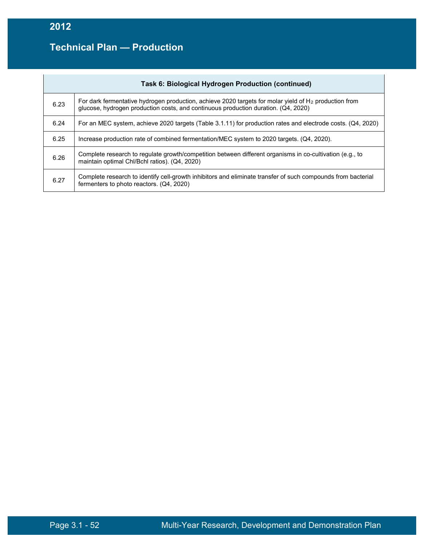| Task 6: Biological Hydrogen Production (continued) |                                                                                                                                                                                                         |
|----------------------------------------------------|---------------------------------------------------------------------------------------------------------------------------------------------------------------------------------------------------------|
| 6.23                                               | For dark fermentative hydrogen production, achieve 2020 targets for molar yield of H <sub>2</sub> production from<br>glucose, hydrogen production costs, and continuous production duration. (Q4, 2020) |
| 6.24                                               | For an MEC system, achieve 2020 targets (Table 3.1.11) for production rates and electrode costs. (Q4, 2020)                                                                                             |
| 6.25                                               | Increase production rate of combined fermentation/MEC system to 2020 targets. (Q4, 2020).                                                                                                               |
| 6.26                                               | Complete research to regulate growth/competition between different organisms in co-cultivation (e.g., to<br>maintain optimal Chl/Bchl ratios). (Q4, 2020)                                               |
| 6.27                                               | Complete research to identify cell-growth inhibitors and eliminate transfer of such compounds from bacterial<br>fermenters to photo reactors. (Q4, 2020)                                                |